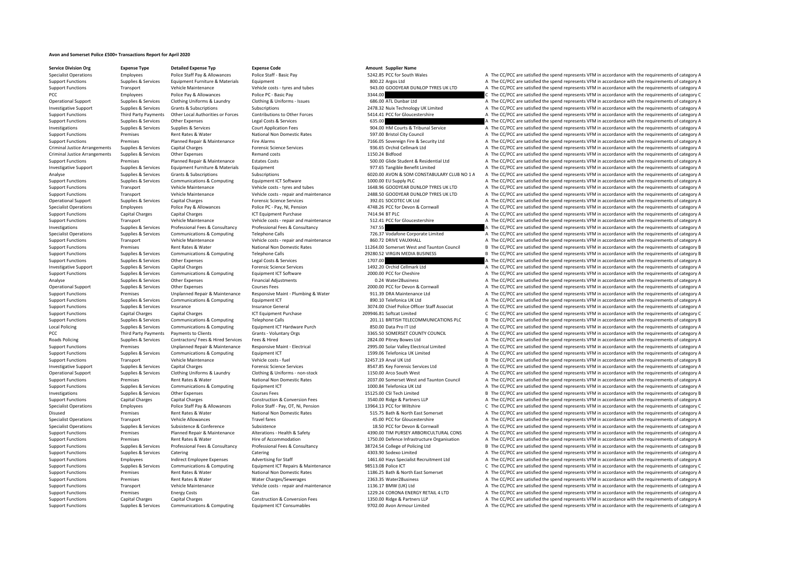## **Avon and Somerset Police £500+ Transactions Report for April 2020**

**Service Division Org Expense Type Detailed Expense Typ Expense Code Amount Supplier Name**

Specialist Operations Employees Police Staff Pay & Allowances Police Staff - Basic Pay Folice Staff - Basic Pay Folice Staff - Basic Pay 5242.85 PCC for South Wales A The CC/PCC are satisfied the spend represents VFM in ac Equipment Functions Supplies A The CC/PCC are satisfied the spend represents VFM in accordance with the requirements of category A Support Functions Transport Vehicle Maintenance Vehicle costs – tyres and tubes 943.00 GOODYEAR DUNLOP TYRES UK LTD A The CC/PCC are satisfied the spend represents VFM in accordance with the requirements of category A PCC Police Pay & Allowances Police PC - Basic Pay 3344.00 Pay 3344.00 PCC are satisfied the spend represents VFM in accordance with the requirements of category C<br>Charational Sunning Sunning & Services Clothing Clothing & Supporters Clothing Uniforms & Laundry Clothing & Uniforms – Issues 686.00 ATL Dunbar Ltd A The CC/PCC are satisfied the spend represents VFM in accordance with the requirements of category A Investigative Support Support Supporters Services Grants & Subscriptions Subscriptions Subscriptions Subscriptions Subscriptions 2478.32 Nuix Technology UK Limited A The CC/PCC are satisfied the spend represents VFM in acc Support Functions Third Party Payments Other I coal Authorities or Forces Contributions to Other Forces 541441 PCC for Gloucestershire A The CC/PCC are satisfied the spend represents VEM in accordance with the requirements Support Functions Supplies & Services Other Expenses Legal Costs & Services 635.00 A The CC/PCC are satisfied the spend represents VFM in accordance with the requirements of category A The Criter Area and the requirements Investigations Supplies Services Supplies & Services Supplies Court Application Fees 904.00 HM Courts & Tribunal Service A The CC/PCC are satisfied the spend represents VFM in accordance with the requirements of category A Support Functions Premises Rent Rates & Water National Non Domestic Rates 597.00 Bristol City Council A The CC/PCC are satisfied the spend represents VFM in accordance with the requirements of category A Support Functions Premises Planned Repair & Maintenance Fire Alarms 7166.05 Sovereign Fire & Security Ltd A The CC/PCC are satisfied the spend represents VFM in accordance with the requirements of category A Criminal Justice Arrangements Supplies & Services Capital Charges A The Criminal Charges Forensic Science Services 936.65 Orchid Cellmark Ltd A The CC/PCC are satisfied the spend represents VFM in accordance with the requi Criminal Justice Arrangements Supplies & Services Other Expenses Remand costs Remand costs 1150.24 Bidfood A The CC/PCC are satisfied the spend represents VFM in accordance with the requirements of category A Support Functions Premises Planned Repair & Maintenance Estates Costs 500.00 Glide Student & Residential Ltd A The CC/PCC are satisfied the spend represents VFM in accordance with the requirements of category A The creativ Investigative Support Supplies & Services Equipment Eurniture & Materials Equipment Equipment Equipment Equipment and the Support A The CC/PCC are satisfied the spend represents VFM in accordance with the requirements of c Analyse Supplies & Services Grants & Subscriptions Subscriptions Subscriptions Subscriptions 500 AVON & SOM CONSTABULARY CLUB NO 1 A The CC/PCC are satisfied the spend represents VFM in accordance with the requirements of Support Functions Supplies & Services Communications & Computing Equipment ICT Software Equipment ICT Software 1000.00 EU Supply PLC A The CC/PCC are satisfied the spend represents VFM in accordance with the requirements o Support Functions Transport Transport Vehicle Maintenance Vehicle Maintenance Vehicle And the Cubes 1648.96 GOODYEAR DUNLOP TYRES UK LTD A The CC/PCC are satisfied the spend represents VFM in accordance with the requiremen Support Functions Transport Vehicle Maintenance Vehicle costs - renair and maintenance 2488.50 GOODYFAR DUNIOP TYRES UK ITD A The CC/PCC are satisfied the spend represents VEM in accordance with the requirements of categor Operational Support Supplies & Services Capital Charges A The Charges Forensic Science Services 392.01 SOCOTEC UK Ltd A The CC/PCC are satisfied the spend represents VFM in accordance with the requirements of category A Specialist Operations Employees Police Pay & Allowances Police PC - Pay, NI, Pension 4748.26 PCC for Devon & Cornwall A The CC/PCC are satisfied the spend represents VFM in accordance with the requirements of category A Th A The CC/PCC are satisfied the spend represents VFM in accordance with the requirements of category A Support Functions Transport Vehicle Maintenance Vehicle costs ‐ repair and maintenance 512.41 PCC for Gloucestershire A The CC/PCC are satisfied the spend represents VFM in accordance with the requirements of category A Th Investigations Supplies & Services Professional Fees & Consultancy Professional Fees & Consultancy Professional Fees & Consultancy 747.55 A The CC/PCC are satisfied the spend represents VFM in accordance with the requireme Specialist Operations Supplies & Services Communications & Computing Telephone Calls 726.37 Vodafone Corporate Limited A The CC/PCC are satisfied the spend represents VFM in accordance with the requirements of category A V A The CC/PCC are satisfied the spend represents VFM in accordance with the requirements of category A Support Functions Premises Rent Rates & Water National Non Domestic Rates 11264.00 Somerset West and Taunton Council B The CC/PCC are satisfied the spend represents VFM in accordance with the requirements of category B Support Functions Supplies & Services Communications & Computing Telephone Calls 29280.52 VIRGIN MEDIA BUSINESS B The CC/PCC are satisfied the spend represents VFM in accordance with the requirements of category B Support Functions Supplies & Services Other Expenses Legal Costs & Services Legal Costs & Services Legal Costs & Services 1707.00 A The CC/PCC are satisfied the spend represents VFM in accordance with the requirements of c Investigative Support Supplies & Services Capital Charges Forensic Science Services 1492.20 Orchid Cellmark Ltd A The CC/PCC are satisfied the spend represents VFM in accordance with the requirements of category A Support Functions Supplies & Services Communications & Computing Equipment ICT Software Equipment ICT Software 2000.00 PCC for Cheshire A The CC/PCC are satisfied the spend represents VFM in accordance with the requirement Analyse Supplies & Services Other Expenses Financial Adjustments Company and the CAPC are satisfied the spend represents VFM in accordance with the requirements of category A Operational Support Supplies & Services Other Expenses Courses Fees Courses Fees 2000.00 PCC for Devon & Cornwall A The CC/PCC are satisfied the spend represents VFM in accordance with the requirements of category A Support Functions Premises Unplanned Repair & Maintenance Responsive Maint • Plumbing & Water 911.39 DRA Maintenance Ltd A The CC/PCC are satisfied the spend represents VFM in accordance with the requirements of category A Support Functions Supplies & Services Communications & Computing Equipment ICT and the Support Communications and the COMPOS Category A The CC/PCC are satisfied the spend represents VFM in accordance with the requirements Support Functions Supplies & Services Insurance Insurance General 3074.00 Chief Police Officer Staff Associat A The CC/PCC are satisfied the spend represents VFM in accordance with the requirements of category A Support Functions Capital Charges Capital Charges Capital Charges Capital Charges ICT Equipment Purchase 209946.81 Softcat Limited C The CC/PCC are satisfied the spend represents VFM in accordance with the requirements of Support Functions Supplies & Services Communications & Computing Telephone Calls and Telephone Calls Telephone Calls 201.11 BRITISH TELECOMMUNICATIONS PLC B The CC/PCC are satisfied the spend represents VFM in accordance w EQUIPUT A The CC/PCC are satisfied the spend represents VFM in accordance with the requirements of category A<br>A The CC/PCC are satisfied the spend represents VFM in accordance with the requirements of category A PCC Third Party Payments to Clients Satisfied Clients Grants - Voluntary Orgs 3365.50 SOMERSET COUNTY COUNCIL A The CC/PCC are satisfied the spend represents VFM in accordance with the requirements of category A Roads Policing Supplies & Services Contractors/ Fees & Hired Services Fees & Hired 2824.00 Pitney Bowes Ltd A The CC/PCC are satisfied the spend represents VFM in accordance with the requirements of category A Premises Unplanned Repair & Maintenance Responsive Maint-Electrical 2995.00 Solar Valley Electrical Limited A The CC/PCC are satisfied the spend represents VFM in accordance with the requirements of category A Support Func A The CC/PCC are satisfied the spend represents VFM in accordance with the requirements of category A Support Functions Transport Vehicle Maintenance Vehicle costs - fuel 32457.19 Arval UK Ltd B The CC/PCC are satisfied the spend represents VFM in accordance with the requirements of category B Investigative Support Supplies & Services Capital Charges Capital Charges Forensic Science Services 8547.85 Key Forensic Services Ltd A The CC/PCC are satisfied the spend represents VFM in accordance with the requirements Operational Support Supplies & Services Clothing Uniforms & Laundry Clothing & Uniforms ‐ non‐stock 1150.00 Arco South West A The CC/PCC are satisfied the spend represents VFM in accordance with the requirements of category A Support Functions Premises Rent Rates & Water National Non Domestic Rates 2037.00 Somerset West and Taunton Council A The CC/PCC are satisfied the spend represents VFM in accordance with the requirements of category A Support Functions Supplies & Services Communications & Computing Equipment ICT 1000.84 Telefonica UK Ltd A The CC/PCC are satisfied the spend represents VFM in accordance with the requirements of category A Investigations Supplies & Services Other Expenses Courses Fees 15125.00 CSI Tech Limited B The CC/PCC are satisfied the spend represents VFM in accordance with the requirements of category B The COV Category and the requir Capital Charges Capital Charges Construction & Conversion Fees 3540.00 Ridge & Partners LLP A The CC/PCC are satisfied the spend represents VFM in accordance with the requirements of category A Specialist Operations Employees Police Staff Pay & Allowances Police Staff - Pay, OT, Ni, Pension 13964.13 PCC for Wiltshire C The CC/PCC are satisfied the spend represents VFM in accordance with the requirements of catego Disused Disused Premises Rent Rates & Water National Non Domestic Rates States Superinte States A The CC/PCC are satisfied the spend represents VFM in accordance with the requirements of category A The Critecial Computatio Specialist Operations Transport Vehicle Allowances Travel fares Travel fares a substitution a company of the COVEC are satisfied the spend represents VFM in accordance with the requirements of category A The CC/PCC are sat Supplies & Services Subsistence Subsistence Subsistence Subsistence 3 Subsistence 3 Subsistence 3 Subsistence 3 Subsistence 3 Subsistence 3 Subsistence 3 Subsistence 3 Subsistence 3 Subsistence 3 Subsistence 3 Subsistence Support Functions Premises Planned Repair & Maintenance Alterations - Health & Safety 4390.00 TIM PURSEY ARBORICULTURAL CONS A The CC/PCC are satisfied the spend represents VFM in accordance with the requirements of catego Support Functions Premises Rent Rates & Water Hire of Accommodation 1750.00 Defence Infrastructure Organisation A The CC/PCC are satisfied the spend represents VFM in accordance with the requirements of category A The Crit Support Functions Supplies & Services Professional Fees & Consultancy Professional Fees & Consultancy Professional Fees & Consultancy Professional Fees & Consultancy 28724.54 College of Policing Ltd B The CC/PCC are satisf Support Functions Supplies & Services Catering Catering Catering Catering Catering Catering Catering Catering A The CC/PCC are satisfied the spend represents VFM in accordance with the requirements of category A Support Functions Employees Indirect Employee Expenses Advertising for Staff 1461.60 Hays Specialist Recruitment Ltd A The CC/PCC are satisfied the spend represents VFM in accordance with the requirements of category A Support Functions Supplies & Services Communications & Computing Equipment ICT Repairs & Maintenance 98513.08 Police ICT C The CC/PCC are satisfied the spend represents VFM in accordance with the requirements of category C Support Functions Premises Rent Rates & Water National Non Domestic Rates 1186.25 Bath & North East Somerset A The CC/PCC are satisfied the spend represents VFM in accordance with the requirements of category A Support Functions Premises Rent Rates & Water Water Charges/Sewerages 2363.35 Water2Business A The CC/PCC are satisfied the spend represents VFM in accordance with the requirements of category A The Deport Functions Transp A The CC/PCC are satisfied the spend represents VFM in accordance with the requirements of category A Support Functions Premises Fuergy Costs Gas Gas Support CORONA ENERGY RETAIL 4 LTD A The CC/PCC are satisfied the spend represents VFM in accordance with the requirements of category A Support Functions Capital Charges Capital Charges Construction & Conversion Fees 1350.00 Ridge & Partners LLP A The CC/PCC are satisfied the spend represents VFM in accordance with the requirements of category A Support Functions Supplies & Services Communications & Computing Equipment ICT Consumables 9702.00 Avon Armour Limited A The CC/PCC are satisfied the spend represents VFM in accordance with the requirements of category A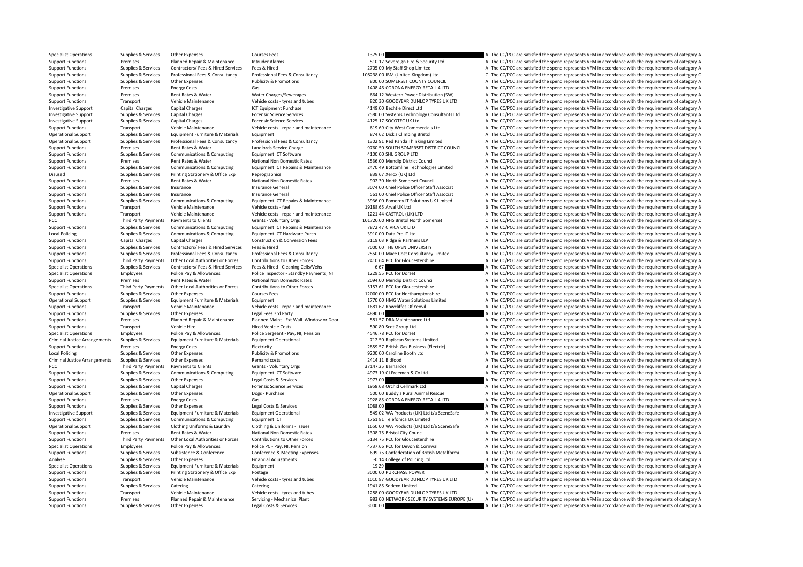Specialist Operations Supplies & Services Other Expenses Courses Fees Courses Fees 1375.00 A The CC/PCC are satisfied the spend represents VFM in accordance with the requirements of category A Support Functions Premises Planned Repair & Maintenance Intruder Alarms 510.17 Sovereign Fire & Security Ltd A The CC/PCC are satisfied the spend represents VFM in accordance with the requirements of category A Support Functions Supplies & Services Contractors/ Fees & Hired Services Fees & Hired Present Services Fees & Hired A The CC/PCC are satisfied the spend represents VFM in accordance with the requirements of category A Support Functions Supplies & Services Professional Fees & Consultancy Professional Fees & Consultancy Professional Fees & Consultancy Professional Fees & Consultancy 108238.00 IBM (United Kingdom) Ltd Support Functions Cur Support Functions Support Functions Support Functions Support Functions and COUNTY COUNCIL A The CC/PCC are satisfied the spend represents VFM in accordance with the requirements of category A Support Functions Premises Energy Costs Gas Gas 1408.46 CORONA ENERGY RETAIL 4 LTD A The CC/PCC are satisfied the spend represents VFM in accordance with the requirements of category A Support Functions Premises Rent Rates & Water Water Charges/Sewerages 664.12 Western Power Distribution (SW) A The CC/PCC are satisfied the spend represents VFM in accordance with the requirements of category A The crystal Support Functions Transport Vehicle Maintenance Vehicle costs ‐ tyres and tubes 820.30 GOODYEAR DUNLOP TYRES UK LTD A The CC/PCC are satisfied the spend represents VFM in accordance with the requirements of category A Investigative Support Capital Charges Capital Charges Capital Charges ICT Equipment Purchase 4149.00 Bechtle Direct Ltd A The CC/PCC are satisfied the spend represents VFM in accordance with the requirements of category A Investigative Support Support Support Supportes Capital Charges Capital Charges Forensic Science Services Forensic Science Services Capital Support of The CC/PCC are satisfied the spend represents VFM in accordance with th Investigative Support Supplies & Services Capital Charges A The Charges Forensic Science Services 4125.17 SOCOTEC UK Ltd A The CC/PCC are satisfied the spend represents VFM in accordance with the requirements of category A Support Functions Transport Vehicle Maintenance Vehicle costs repair and maintenance 619.69 City West Commercials Ltd A The CC/PCC are satisfied the spend represents VFM in accordance with the requirements of category A Operational Support Supplies & Services Equipment Eurniture & Materials Equipment Equipment Equipment Equipment<br>Consultancy Professional Res & Consultancy Professional Fees & Consultancy Professional Fees & Consultancy Pro Operational Support Supplies & Services Professional Fees & Consultancy Professional Fees & Consultancy Professional Fees & Consultancy Professional Fees & Consultancy and the state of category and the methods Support of t Support Functions Premises Rent Rates & Water Landlords Service Charge 9760.50 SOUTH SOMERSET DISTRICT COUNCIL B The CC/PCC are satisfied the spend represents VFM in accordance with the requirements of category B Support Functions Supplies & Services Communications & Computing Equipment ICT Software 4100.00 SHL GROUP LTD A The CC/PCC are satisfied the spend represents VFM in accordance with the requirements of category A Support Functions Premises Rent Rates & Water National Non Domestic Rates 1536.00 Mendip District Council A The CC/PCC are satisfied the spend represents VFM in accordance with the requirements of category A Support Functions Supplies & Services Communications & Computing Equipment ICT Repairs & Maintenance 2470.49 Bottomline Technologies Limited A The CC/PCC are satisfied the spend represents VFM in accordance with the requir Disused Supplies & Services Printing Stationery & Office Exp Reprographics 839.67 Xerox (UK) Ltd A The CC/PCC are satisfied the spend represents VFM in accordance with the requirements of category A Support Functions Premises Premises Rent Rates & Water National Non Domestic Rates 902.30 North Somerset Council A The CC/PCC are satisfied the spend represents VFM in accordance with the requirements of category A The Cou Insurance Insurance General 2007 2007 3074.00 Chief Police Officer Staff Associat A The CC/PCC are satisfied the spend represents VFM in accordance with the requirements of category A Support Functions Supplies & Services Insurance Insurance Insurance General Insurance General 561.00 Chief Police Officer Staff Associat A The CC/PCC are satisfied the spend represents VFM in accordance with the requiremen Support Functions Support Support Support Communications & Computing Equipment ICT Repairs & Maintenance 3936.00 Pomerov IT Solutions UK Limited A The CC/PCC are satisfied the spend represents VFM in accordance with the re Support Functions Transport Vehicle Maintenance Vehicle costs – fuel Vehicle Costs – fuel 19188.65 Arval UK Ltd Support Ltd B The CC/PCC are satisfied the spend represents VFM in accordance with the requirements of categor Transport Vehicle Maintenance Vehicle costs ‐ repair and maintenance 1221.44 CASTROL (UK) LTD A The CC/PCC are satisfied the spend represents VFM in accordance with the requirements of category A PCC Third Party Payments Payments to Clients Same Crants - Voluntary Orgs 101720.00 NHS Bristol North Somerset C The CC/PCC are satisfied the spend represents VFM in accordance with the requirements of category C Support Functions Supplies & Services Communications & Computing Equipment ICT Repairs & Maintenance 7872.47 CIVICA UK LTD A The CC/PCC are satisfied the spend represents VFM in accordance with the requirements of category Local Policing Supplies Supplies & Services Communications & Computing Equipment ICT Hardware Purch 3910.00 Data Pro IT Ltd A The CC/PCC are satisfied the spend represents VFM in accordance with the requirements of categor A The CC/PCC are satisfied the spend represents VFM in accordance with the requirements of category A Support Functions Supplies & Services Contractors/ Fees & Hired Services Fees & Hired The Manual 2000.00 THE OPEN UNIVERSITY A The CC/PCC are satisfied the spend represents VFM in accordance with the requirements of catego Support Functions Support Support Support Support of category and English Consultancy Professional Fees & Consultancy Professional Fees & Consultancy Consultancy and the CONSULTANCY Consultancy limited a The CC/PCC are sat Support Functions Third Party Payments Other Local Authorities or Forces Contributions to Other Forces Support Definition and the CONCESC Care attention of the CONCESC ARE CONCESC ARE CONCESC AND THE CONCESC ARE CONCESC AN Specialist Operations Supplies A Service Services A The CC/PCC are satisfied the spend represents VFM in accordance with the requirements of category A Specialist Operations Employees Police Pay & Allowances Police Inspector - Standby Payments, NI 1229.55 PCC for Dorset A The CC/PCC are satisfied the spend represents VFM in accordance with the requirements of category A Support Functions Premises Rent Rates & Water National Non Domestic Rates 2094.00 Mendip District Council A The CC/PCC are satisfied the spend represents VFM in accordance with the requirements of category A Specialist Operations Third Party Payments Other Local Authorities or Forces Contributions to Other Forces 5157.61 PCC for Gloucestershire A The CC/PCC are satisfied the spend represents VFM in accordance with the requirem Support Functions Supplies & Services Other Expenses Courses Fees Courses Fees 12000.00 PCC for Northamptonshire B The CC/PCC are satisfied the spend represents VFM in accordance with the requirements of category B Operational Support Supplies & Services Equipment Furniture & Materials Equipment Equipment Equipment Equipment and the Support and the Support and the Support of the Support of The CONSTANT CONSTANT OF The CONSTANT A The Support Functions Transport Vehicle Maintenance Vehicle costs - repair and maintenance 1681.62 Rowcliffes Of Yeovil A The CC/PCC are satisfied the spend represents VFM in accordance with the requirements of category A Support Functions Supplies & Services Other Expenses Legal Fees 3rd Party 4890.00 A The CC/PCC are satisfied the spend represents VFM in accordance with the requirements of category A Franses Support Europe Planned Repair & Maintenance Planned Maint - Ext Wall Window or Door Sanda Support and the CC/PCC are satisfied the spend represents VFM in accordance with the requirements of category A Support Func Transport Vehicle Hire Hired Vehicle Costs Functions Costs 590.80 Scot Group Ltd A The CC/PCC are satisfied the spend represents VFM in accordance with the requirements of category A The Criter Association and the result o Specialist Operations Employees Police Pay & Allowances Police Sergeant - Pay, NI, Pension 4546.78 PCC for Dorset A The CC/PCC are satisfied the spend represents VFM in accordance with the requirements of category A Criminal Justice Arrangements Supplies & Services Equipment Furniture & Materials Equipment Operational Equipment Operational 212.50 Rapiscan Systems Limited A The CC/PCC are satisfied the spend represents VFM in accordanc Support Functions Premises Premises Energy Costs Electricity Electricity Premises Electricity 2859.57 British Gas Business (Electric) A The CC/PCC are satisfied the spend represents VFM in accordance with the requirements Local Policing Supplies & Services Other Expenses Publicity & Promotions 9200.00 Caroline Booth Ltd A The CC/PCC are satisfied the spend represents VFM in accordance with the requirements of category A Criminal Justice Arrangements Supplies & Services Other Expenses Remand costs Remand costs 2414.11 Bidfood A The CC/PCC are satisfied the spend represents VFM in accordance with the requirements of category A PCC Third Party Payments Payments of Clients Grants - Voluntary Orgs 37147.25 Barnardos 37147.25 Barnardos B The CC/PCC are satisfied the spend represents VFM in accordance with the requirements of category B<br>Support Funct Support Functions Supplies Services Communications & Computing Equipment ICT Software 4973.19 CJ Freeman & Co Ltd A The CC/PCC are satisfied the spend represents VFM in accordance with the requirements of category A Support Functions Supplies & Services Other Expenses Legal Costs & Services 2977.00 2077.00 A The CC/PCC are satisfied the spend represents VFM in accordance with the requirements of category A Support Functions Supplies & Services Capital Charges **Forensic Science Services** 1958.68 Orchid Cellmark Ltd A The CC/PCC are satisfied the spend represents VFM in accordance with the requirements of category A Operational Support Supplies & Services Other Expenses Dogs - Purchase Dogs and Dogs Purchase 500.00 Buddy's Rural Animal Rescue A The CC/PCC are satisfied the spend represents VFM in accordance with the requirements of ca Support Functions Premises Fuergy Costs Gas Gas 2928.85 CORONA ENFRGY RETAIL 4 LTD A The CC/PCC are satisfied the spend represents VFM in accordance with the requirements of category A Support Functions Supplies & Services Other Expenses Legal Costs & Services 1088.00 A The CC/PCC are satisfied the spend represents VFM in accordance with the requirements of category A Investigative Support Support Support Support Support Equipment Furniture & Materials Equipment Operational Equipment Operational 549.02 WA Products (UK) Ltd L/a SceneSafe A The CC/PCC are satisfied the spend represents VF Support Functions Supplies & Services Communications & Computing Equipment ICT Equipment ICT 1761.81 Telefonica UK Limited A The CC/PCC are satisfied the spend represents VFM in accordance with the requirements of category Operational Support Supplies & Services Clothing Uniforms & Laundry Clothing & Uniforms - Issues 1650.00 WA Products (UK) I to the Serve Safe A The CC/PCC are satisfied the spend represents VEM in accordance with the requi Support Functions Premises Rent Rates & Water National Non Domestic Rates 1308.75 Bristol City Council A The CC/PCC are satisfied the spend represents VFM in accordance with the requirements of category A Support Functions Third Party Payments Other Local Authorities or Forces Contributions to Other Forces S134.75 PCC for Gloucestershire A The CC/PCC are satisfied the spend represents VFM in accordance with the requirements Specialist Operations Employees Police Pay & Allowances Police PC - Pay, NI, Pension 4737.66 PCC for Devon & Cornwall A The CC/PCC are satisfied the spend represents VFM in accordance with the requirements of category A Support Functions Supplies & Services Subsistence & Conference Conference Conference A Meeting Expenses 699.75 Confederation of British Metalformi A The CC/PCC are satisfied the spend represents VFM in accordance with the Analyse Supplies Services Other Expenses Financial Adjustments Financial Adjustments – 1.14 College of Policing Ltd B The CC/PCC are satisfied the spend represents VFM in accordance with the requirements of category B Supp Specialist Operations Supplies & Services Equipment Eurniture & Materials Equipment Equipment and the service Equipment 19.29 A The CC/PCC are satisfied the spend represents VFM in accordance with the requirements of categ Support Functions Supplies & Services Printing Stationery & Office Exp Postage Protage 3000.00 PURCHASE POWER A The CC/PCC are satisfied the spend represents VFM in accordance with the requirements of category A Support Functions Transport Vehicle Maintenance Vehicle costs – tyres and tubes 1010.87 GOODYEAR DUNLOP TYRES UK LTD A The CC/PCC are satisfied the spend represents VFM in accordance with the requirements of category A Cat Support Functions Supplies A The CC/PCC are satisfied the spend represents VFM in accordance with the requirements of category A<br>A The CC/PCC are satisfied the spend represents VFM in accordance with the requirements of ca Support Functions Transport Vehicle Maintenance Vehicle costs – tyres and tubes 1288.00 GOODYEAR DUNLOP TYRES UK LTD A The CC/PCC are satisfied the spend represents VFM in accordance with the requirements of category A Support Functions Premises Planned Repair & Maintenance Servicing - Mechanical Plant 983.00 NETWORK SECURITY SYSTEMS EUROPE (UK A The CC/PCC are satisfied the spend represents VFM in accordance with the requirements of cat Support Functions Supplies & Services Other Expenses Legal Costs & Services 3000.00 3000.00 A The CC/PCC are satisfied the spend represents VFM in accordance with the requirements of category A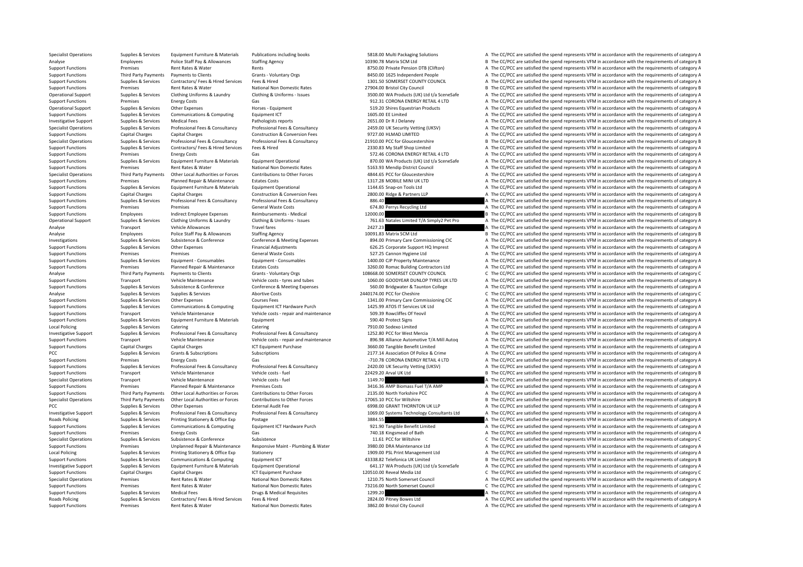Supplies & Services Equipment Furniture & Materials Publications including books 5818.00 Multi Packaging Solutions A The CC/PCC are satisfied the spend represents VFM in accordance with the requirements of category A Analyse Employees Police Staff Pay & Allowances Staffing Agency 10390.78 Matrix SCM Ltd B The CC/PCC are satisfied the spend represents VFM in accordance with the requirements of category B Support Functions Premises Rent Rates & Water Rents Rents Rents Rents Rents Rents Rents Rents Rents Rents Rents Rents Rents Rents Rents Rents Rents Rents Rents Rents Rents Rents Rents Rents Rents Rents Rents Rents Rents Re Support Functions Third Party Payments Payments of Clients Grants - Voluntary Orgs Grants - Voluntary Orgs 8450.00 1625 Independent People A The CC/PCC are satisfied the spend represents VFM in accordance with the requirem Supplies & Services Contractors/ Fees & Hired Services Fees & Hired Services Fees & Hired 1301.50 SOMERSET COUNTY COUNCIL A The CC/PCC are satisfied the spend represents VFM in accordance with the requirements of category Support Functions Premises Premises Rent Rates & Water National Non Domestic Rates 27904.00 Bristol City Council B The CC/PCC are satisfied the spend represents VFM in accordance with the requirements of category B Council Operational Support Supplies & Services Clothing Uniforms & Laundry Clothing & Uniforms - Issues 3500.00 WA Products (UK) Ltd t/a SceneSafe A The CC/PCC are satisfied the spend represents VFM in accordance with the require Support Functions Premises Fuergy Costs Gas Gas 912.31 CORONA ENFRGY RETAIL 4 LTD A The CC/PCC are satisfied the spend represents VFM in accordance with the requirements of category A Operational Support Supplies & Services Other Expenses Horses Equipment Horses Foundance Stategory A The CC/PCC are satisfied the spend represents VFM in accordance with the requirements of category A Support Functions Supplies & Services Communications & Computing Faultoment ICT 1605.00 FE Limited 1605.00 FE Limited A The CC/PCC are satisfied the spend represents VFM in accordance with the requirements of category A Investigative Support Supplies & Services Medical Fees Pathologists reports Pathologists reports 2651.00 Dr R J Delaney A The CC/PCC are satisfied the spend represents VFM in accordance with the requirements of category A Specialist Operations Supplies & Sepulces Professional Fees & Consultancy Professional Fees & Consultancy Professional Fees & Consultancy Professional Fees & Consultancy 2459 00 LIK Security Verting (LIKSV) A The CC/PCC ar Support Functions Capital Charges Capital Charges Capital Charges Construction & Conversion Fees 9727.00 HLMAD LIMITED A The CC/PCC are satisfied the spend represents VFM in accordance with the requirements of category A T Specialist Operations Supplies & Services Professional Fees & Consultancy Professional Fees & Consultancy Professional Fees & Consultancy Professional Fees & Consultancy Professional Fees & Consultancy 21910.00 PCC for Glo Support Functions Supplies & Services Contractors/ Fees & Hired Services Fees & Hired 2330.83 My Staff Shop Limited A The CC/PCC are satisfied the spend represents VFM in accordance with the requirements of category A Support Functions Premises Energy Costs Gas Gas Gas ST2.46 CORONA ENERGY RETAIL 4 LTD A The CC/PCC are satisfied the spend represents VFM in accordance with the requirements of category A Supplies Supplies & Services Equipment Furniture & Materials Equipment Operational experiment of the CONDUCT CHANNER (UK) Ltd Va SceneSafe A The CC/PCC are satisfied the spend represents VFM in accordance with the requirem Support Functions Premises Rent Rates & Water National Non Domestic Rates S163.93 Mendip District Council A The CC/PCC are satisfied the spend represents VFM in accordance with the requirements of category A The Cripcial A Specialist Operations Third Party Payments Other Local Authorities or Forces Contributions to Other Forces 4844.65 PCC for Gloucestershire A The CC/PCC are satisfied the spend represents VFM in accordance with the requirem Support Functions Premises Planned Repair & Maintenance Estates Costs 1317.28 MOBILE MINI UK LTD A The CC/PCC are satisfied the spend represents VFM in accordance with the requirements of category A The Criterial Support F A The CC/PCC are satisfied the spend represents VFM in accordance with the requirements of category A Support Functions Capital Charges Capital Charges Construction & Conversion Fees 2800.00 Ridge & Partners LLP A The CC/PCC are satisfied the spend represents VFM in accordance with the requirements of category A Support Functions Supplies & Services Professional Fees & Consultancy Professional Fees & Consultancy Professional Fees & Consultancy A The CC/PCC are satisfied the spend represents VFM in accordance with the requirements Support Functions Premises Premises Premises Premises Support General Waste Costs General Waste Costs 674.80 Perrys Recycling Ltd A The CC/PCC are satisfied the spend represents VFM in accordance with the requirements of c B The CC/PCC are satisfied the spend represents VFM in accordance with the requirements of category B Operational Support Supplies & Services Clothing Uniforms & Laundry Clothing & Uniforms - Issues 761.63 Natales Limited T/A Simply 2 Pet Pro A The CC/PCC are satisfied the spend represents VFM in accordance with the requir Analyse Transport Vehicle Allowances Travel fares Travel fares 2427.23 A The CC/PCC are satisfied the spend represents VFM in accordance with the requirements of category A Analyse Employees Police Staff Pay & Allowances Staffing Agency Staffing Agency 10091.83 Matrix SCM Ltd B The CC/PCC are satisfied the spend represents VFM in accordance with the requirements of category B Investigations S A The CC/PCC are satisfied the spend represents VFM in accordance with the requirements of category A Support Functions Supplies & Services Other Expenses Financial Adjustments Financial Adjustments 626.25 Corporate Support HQ Imprest A The CC/PCC are satisfied the spend represents VFM in accordance with the requirements o Support Functions Premises Premises Premises Seneral Waste Costs 527.25 Cannon Hygiene Ltd A The CC/PCC are satisfied the spend represents VFM in accordance with the requirements of category A Support Functions Supplies & Services Equipment - Consumables Equipment - Consumables Equipment - Consumables Equipment - Consumables a The CC/PCC are satisfied the spend represents VFM in accordance with the requirements A The CC/PCC are satisfied the spend represents VFM in accordance with the requirements of category A Analyse Third Party Payments Payments of Clients Grants - Voluntary Orgs Grants - 108668.00 SOMERSET COUNTY COUNCIL C The CC/PCC are satisfied the spend represents VFM in accordance with the requirements of category C<br>Supp Support Functions Transport Vehicle Maintenance Vehicle costs – tyres and tubes 1060.00 GOODYEAR DUNLOP TYRES UK LTD A The CC/PCC are satisfied the spend represents VFM in accordance with the requirements of category A Support Functions Supplies & Services Subsistence & Conference Conference Conference A Meeting Expenses 560.00 Bridgwater & Taunton College A The CC/PCC are satisfied the spend represents VFM in accordance with the require Analyse Supplies & Services Supplies & Services Abortive Costs 2440174.00 PCC for Cheshire C The CC/PCC are satisfied the spend represents VFM in accordance with the requirements of category C Support Functions Supplies & Services Other Expenses Courses Fees Courses Fees 1341.00 Primary Care Commissioning CIC A The CC/PCC are satisfied the spend represents VFM in accordance with the requirements of category A Th Support Functions Supplies & Services Communications & Communications & Communications & Communications & Communications For Function Function Functions and the CONCLUST CONTECT CONTECT ATTENTIES A The CC/PCC are satisfied Support Functions Transport Vehicle Maintenance Vehicle costs – repair and maintenance 509.39 Rowcliffes Of Yeovil A The CC/PCC are satisfied the spend represents VFM in accordance with the requirements of category A The C Support Functions Supplies & Services Equipment Furniture & Materials Equipment Equipment Equipment Equipment Support The CC/PCC are satisfied the spend represents VFM in accordance with the requirements of category A The Local Policing Catering Catering Catering Catering Catering Catering Catering Catering Catering Catering Catering Catering a The CC/PCC are satisfied the spend represents VFM in accordance with the requirements of category Investigative Supplies & Services Professional Fees & Consultancy Professional Fees & Consultancy Professional Fees & Consultancy Professional Fees & Consultancy 2012 8.0 PCC for West Mercia A The CC/PCC are satisfied the Support Functions Transport Vehicle Maintenance Vehicle costs - repair and maintenance 896.98 Alliance Automotive T/A Mill Autoq A The CC/PCC are satisfied the spend represents VFM in accordance with the requirements of ca Support Functions Capital Charges Capital Charges Capital Charges Capital Charges ICT Equipment Purchase 3660.00 Tangible Benefit Limited A The CC/PCC are satisfied the spend represents VFM in accordance with the requireme PCC Supplies & Services Grants & Subscriptions Subscriptions Subscriptions Subscriptions Subscriptions Subscriptions Subscriptions 2177.14 Association Of Police & Crime A The CC/PCC are satisfied the spend represents VFM i Support Functions Premises Energy Costs Gas Gas Gas Function Content of Costs Gas Category A The CC/PCC are satisfied the spend represents VFM in accordance with the requirements of category A Support Functions Supplies & Services Professional Fees & Consultancy Professional Fees & Consultancy Professional Fees & Consultancy Professional Fees & Consultancy (2420.00 UK Security Vetting (UKSV) A The CC/PCC are sat Support Functions Transport Vehicle Maintenance Vehicle costs fuel 22429.20 Arval UK Ltd B The CC/PC are satisfied the spend represents VFM in accordance with the requirements of category B Specialist Operations Transport Vehicle Maintenance Vehicle costs ‐ fuel 1149.70 1149.70 A The CC/PCC are satisfied the spend represents VFM in accordance with the requirements of category A Support Functions Premises Planned Repair & Maintenance Premises Costs 3416.36 AMP Biomass Fuel T/A AMP A The CC/PCC are satisfied the spend represents VFM in accordance with the requirements of category A Support Functions Third Party Payments Other Local Authorities or Forces Contributions to Other Forces 2135.00 North Yorkshire PCC And the CC/PCC are satisfied the spend represents VFM in accordance with the requirements o Specialist Operations Third Party Payments Other Incel Authorities or Engres Contributions to Other Engres Contributions to Other Engres 17055 10 PC for Wiltshire R. The CC/PC are astisfied the spend represents VEM in acco PCC Supplies & Services Other Expenses External Audit Fee 6998.00 GRANT THORNTON UK LLP A The CC/PCC are satisfied the spend represents VFM in accordance with the requirements of category A Investigative Support Supplies & Services Professional Fees & Consultancy Professional Fees & Consultancy Professional Fees & Consultancy Professional Fees & Consultancy 1069.00 Systems Technology Consultants Ltd A The CC/ Roads Policing Supplies & Services Printing Stationery & Office Exp Postage Prostage and States and States and States and States and The CC/PCC are satisfied the spend represents VFM in accordance with the requirements of Supplies & Services Communications & Computing Foulyment ICT Hardware Purch 921.90 Tangible Benefit Limited A The CC/PCC are satisfied the spend represents VFM in accordance with the requirements of category A Support Functions Premises Premises Premises Energy Costs Gas Gas Gas Gas Cases Cases Conference Gas 1.1.61 PCC of Bath A The CC/PCC are satisfied the spend represents VFM in accordance with the requirements of category A Supplies & Subsistence Subsistence Subsistence Subsistence Subsistence Conference Subsistence Subsistence Conference of Subsistence Conference 11.61 PCC for Wiltshire C The CC/PCC are satisfied the spend represents VFM in Support Functions Premises Unplanned Repair & Maintenance Responsive Maint • Plumbing & Water 3980.00 DRA Maintenance Ltd A The CC/PCC are satisfied the spend represents VFM in accordance with the requirements of category Local Policing Supplies & Services Printing Stationery & Office Exp Stationery Stationery 1909.00 PSL Print Management Ltd A The CC/PCC are satisfied the spend represents VFM in accordance with the requirements of category Support Functions Supplies & Services Communications & Computing Equipment ICT 43338.82 Telefonica UK Limited B The CC/PCC are satisfied the spend represents VFM in accordance with the requirements of category B Investigative Support Supplies & Services Equipment Furniture & Materials Equipment Operational Equipment Operational capaca by the CALL CHAN CALL CALL CALL CALL CALL A The CCACC are satisfied the spend represents VFM in a Support Functions Capital Charges Capital Charges Capital Charges ICT Equipment Purchase 120510.00 Reveal Media Ltd C The CC/PCC are satisfied the spend represents VFM in accordance with the requirements of category C Specialist Operations Premises Rent Rates & Water Mational Non Domestic Rates 1210.75 North Somerset Council A The CC/PCC are satisfied the spend represents VFM in accordance with the requirements of category A Support Fun C The CC/PCC are satisfied the spend represents VFM in accordance with the requirements of category C Support Functions Supplies & Services Medical Fees Drugs & Medical Requisites 1299.20 A The CC/PCC are satisfied the spend represents VFM in accordance with the requirements of category A Roads Policing Supplies & Services Contractors/ Fees & Hired Services Fees & Hired 2824.00 Pitney Bowes Ltd A The CC/PCC are satisfied the spend represents VFM in accordance with the requirements of category A Support Functions Premises Rent Rates & Water National Non Domestic Rates 3862.00 Bristol City Council A The CC/PCC are satisfied the spend represents VFM in accordance with the requirements of category A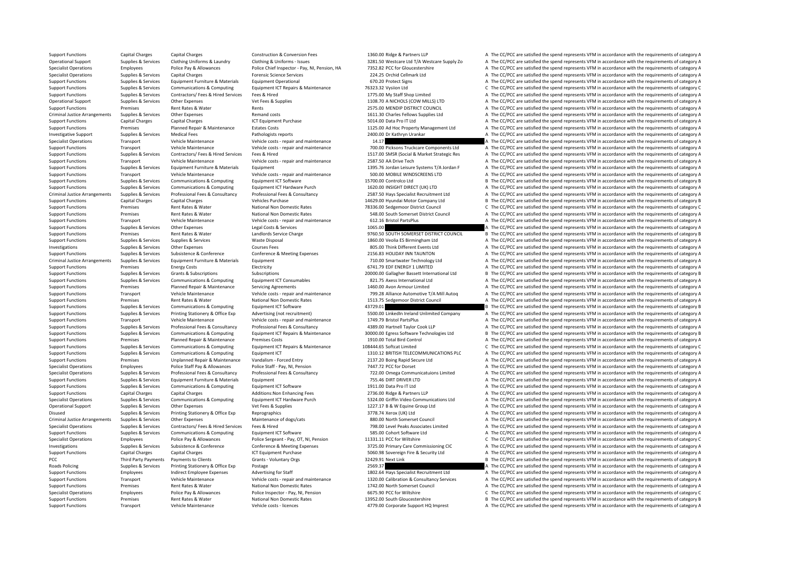Support Functions Transport Vehicle Maintenance Vehicle costs - licences 4779.00 Corporate Support HQ Imprest A The CC/PCC are satisfied the spend represents VFM in accordance with the requirements of category A

Support Functions Capital Charges Capital Charges Construction & Conversion Fees 1360.00 Ridge & Partners LLP A The CC/PCC are satisfied the spend represents VFM in accordance with the requirements of category A Operational Support Supplies & Services Clothing Uniforms & Laundry Clothing & Uniforms - Issues 3281.50 Westcare Ltd T/A Westcare Supply Zo A The CC/PCC are satisfied the spend represents VFM in accordance with the requir Specialist Operations Employees Police Pay & Allowances Police Chief Inspector - Pay, NI, Pension, HA 7352.82 PCC for Gloucestershire A The CC/PCC are satisfied the spend represents VFM in accordance with the requirements Specialist Operations Supplies & Services Capital Charges Capital Charges Forensic Science Services 20120 20125 Orchid Cellmark Ltd A The CC/PCC are satisfied the spend represents VFM in accordance with the requirements of Support Functions Supplies A The CC/PCC are satisfied the spend represents VFM in accordance with the requirements of category A Support Functions Supplies & Services Communications & Computing Equipment ICT Repairs & Maintenance 76323.32 Vysiion Ltd C The CC/PCC are satisfied the spend represents VFM in accordance with the requirements of category Support Functions Supplies & Services Contractors/ Fees & Hired Services Fees & Hired Fees A Hired 1775.00 My Staff Shop Limited A The CC/PCC are satisfied the spend represents VFM in accordance with the requirements of ca Operational Support Supplies & Services Other Expenses Vet Fees & Supplies Vet Fees & Supplies 1108.70 A NICHOLS (COW MILLS) LTD A The CC/PCC are satisfied the spend represents VFM in accordance with the requirements of ca Support Functions Premises Rent Rates & Water Rents Rents Rents 2575.00 MENDIP DISTRICT COUNCIL A The CC/PCC are satisfied the spend represents VFM in accordance with the requirements of category A Criminal Justice Arrangements Supplies & Services Other Expenses Remand costs Remand costs and the spend of the Supplies Ltd A The CC/PCC are satisfied the spend represents VFM in accordance with the requirements of catego Support Functions Capital Charges Capital Charges Support Purchase ICT Equipment Purchase 5014.00 Data Pro IT Ltd A The CC/PCC are satisfied the spend represents VFM in accordance with the requirements of category A Support Functions Premises Planned Repair & Maintenance Estates Costs 1125.00 Ad Hoc Property Management Ltd A The CC/PCC are satisfied the spend represents VFM in accordance with the requirements of category A Investigative Support Support Support Supportes Medical Fees Pathologists reports Pathologists reports 2400.00 Dr Kathryn Urankar A The CC/PCC are satisfied the spend represents VFM in accordance with the requirements of c Specialist Operations Transport Vehicle Maintenance Vehicle costs - repair and maintenance 14.17 A The CC/PCC are satisfied the spend represents VFM in accordance with the requirements of category A The Criticalist Compone Support Functions Transport Vehicle Maintenance Vehicle costs - repair and maintenance 700.00 Picksons Truckcare Components Ltd A The CC/PCC are satisfied the spend represents VFM in accordance with the requirements of ca Support Functions Supplies & Services Contractors/ Fees & Hired Services Fees & Hired Services Fees & Hired Services Fees & Hired Services Fees & Hired Services Fees & Hired Services Fees & Hired Services Fees & Hired Serv Support Functions Transport Vehicle Maintenance Vehicle costs ‐ repair and maintenance 2587.50 AA Drive Tech A The CC/PCC are satisfied the spend represents VFM in accordance with the requirements of category A Supplies & Services Supplies Faultoment Furniture & Materials Faultoment Furniture & Materials Faultoment Furniture & Materials Faultoment 1395.76 Iordan Leisure Systems T/A Iordan F A The CC/PCC are satisfied the spend re Support Functions Transport Vehicle Maintenance Vehicle costs ‐ repair and maintenance 500.00 MOBILE WINDSCREENS LTD A The CC/PCC are satisfied the spend represents VFM in accordance with the requirements of category A Support Functions Supplies & Services Communications & Computing Equipment ICT Software 15700.00 Controlco Ltd B The CC/PCC are satisfied the spend represents VFM in accordance with the requirements of category B Support F Supplies & Services Communications & Computing Foujoment ICT Hardware Purch 1620.00 INSIGHT DIRECT (UK) I TD A The CC/PCC are satisfied the spend represents VEM in accordance with the requirements of category A Criminal Justice Arrangements Supplies & Services Professional Fees & Consultancy Professional Fees & Consultancy Professional Fees & Consultancy Professional Fees & Consultancy Professional Fees & Consultancy 2587.50 Havs Support Functions Capital Charges Capital Charges Capital Charges Vehicles Purchase 14629.00 Hyundai Motor Company Ltd B The CC/PCC are satisfied the spend represents VFM in accordance with the requirements of category B Support Functions Premises Rent Rates & Water Mational Non Domestic Rates 78336.00 Sedgemoor District Council Council Council Council Council Council Council Council Premises Premises Rent Rates Rent Rates Rent Rates Natio A The CC/PCC are satisfied the spend represents VFM in accordance with the requirements of category A Support Functions Transport Vehicle Maintenance Vehicle costs ‐ repair and maintenance 612.16 Bristol PartsPlus A The CC/PCC are satisfied the spend represents VFM in accordance with the requirements of category A The CC/P Support Functions Supplies & Services Other Expenses Legal Costs & Services Legal Costs & Services Legal Costs & Services 1065.00 A The CC/PCC are satisfied the spend represents VFM in accordance with the requirements of c Support Functions Premises Rent Rates & Water Landlords Service Charge 19760.50 SOUTH SOMERSET DISTRICT COUNCIL B The CC/PCC are satisfied the spend represents VFM in accordance with the requirements of category B<br>Support Support Functions Supplies & Services Supplies & Services Waste Disposal 1860.00 Veolia ES Birmingham Ltd A The CC/PCC are satisfied the spend represents VFM in accordance with the requirements of category A Investigations Supplies & Services Other Expenses Courses Fees Courses Fees 805.00 Think Different Events Ltd A The CC/PCC are satisfied the spend represents VFM in accordance with the requirements of category A Support Functions Supplies & Services Subsistence & Conference Conference & Meeting Expenses 2156.83 HOLIDAY INN TAUNTON A The CC/PCC are satisfied the spend represents VFM in accordance with the requirements of category A Criminal Justice Arrangements Supplies & Services Equipment Euriture & Materials Equipment Euriture & Materials Equipment<br>
Electricity Entergy Costs Entergy Costs Electricity Electricity (Electricity entergy costs Electric A The CC/PCC are satisfied the spend represents VFM in accordance with the requirements of category A Support Functions Supplies & Services Grants & Subscriptions Subscriptions Subscriptions Subscriptions Subscriptions Subscriptions Subscriptions Subscriptions and the conductions and a conduction and the conductions of cat Support Functions Supplies & Services Communications & Computing Foulpment ICT Consumables 821.75 Axess International Ltd A The CC/PCC are satisfied the spend represents VFM in accordance with the requirements of category Support Functions Premises Planned Repair & Maintenance Servicing Agreements 1460.00 Avon Armour Limited A The CC/PCC are satisfied the spend represents VFM in accordance with the requirements of category A Support Functions Transport Vehicle Maintenance Vehicle costs - repair and maintenance 799.28 Alliance Automotive T/A Mill Autoo A The CC/PCC are satisfied the spend represents VFM in accordance with the requirements of ca Support Functions Premises Rent Rates & Water National Non Domestic Rates 1513.75 Sedgemoor District Council A The CC/PCC are satisfied the spend represents VFM in accordance with the requirements of category A The Connumi Support Functions Supplies & Services Communications & Computing Equipment ICT Software and the service and a and the service and the cc/PCC are satisfied the spend represents VFM in accordance with the requirements of cat Support Functions Supplies & Services Printing Stationery & Office Exp Advertising (not recruitment) 5500.00 LinkedIn Ireland Unlimited Company A The CC/PCC are satisfied the spend represents VFM in accordance with the req Support Functions Transport Vehicle Maintenance Vehicle costs ‐ repair and maintenance 1749.79 Bristol PartsPlus A The CC/PCC are satisfied the spend represents VFM in accordance with the requirements of category A The Cri A The CC/PCC are satisfied the spend represents VFM in accordance with the requirements of category A<br>30000.00 Feress Software Technologies Itd B The CC/PCC are satisfied the spend represents VFM in accordance with the req Supplies & Services Communications & Computing Foujoment ICT Repairs & Maintenance 30000.00 Feress Software Technologies Itd B The CC/PCC are satisfied the spend represents VEM in accordance with the requirements of catego Support Functions Premises Planned Repair & Maintenance Premises Costs 1910.00 Total Bird Control A The CC/PCC are satisfied the spend represents VFM in accordance with the requirements of category A Supplies & Services Communications & Computing Equipment ICT Repairs & Maintenance 108444.65 Softcat Limited C The CC/PCC are satisfied the spend represents VFM in accordance with the requirements of category C<br>Support Fun A The CC/PCC are satisfied the spend represents VFM in accordance with the requirements of category A Support Functions Premises Unplanned Repair & Maintenance Vandalism - Forced Entry 2137.20 Boing Rapid Secure Ltd A The CC/PCC are satisfied the spend represents VFM in accordance with the requirements of category A Specialist Operations Employees Police Staff Pay & Allowances Police Staff - Pay, NI, Pension 7447.72 PCC for Dorset A The CC/PCC are satisfied the spend represents VFM in accordance with the requirements of category A The Supplier Cumpliar & Sandings Profeccional Feas & Consultancy Profeccional Feas & Consultancy Profeccional Feas & Consultancy Profeccional Feas & Consultancy 77200 Omes Communicaturions Limited & The CC/PCC are astisfied th Support Functions Supplies & Services Equipment Furniture & Materials Equipment Equipment 755.46 DIRT DRIVER LTD A The CC/PCC are satisfied the spend represents VFM in accordance with the requirements of category A Support Functions Supplies & Services Communications & Computing Equipment ICT Software 1911.00 Data Pro IT Ltd A The CC/PCC are satisfied the spend represents VFM in accordance with the requirements of category A Support Functions Capital Charges Capital Charges Capital Charges Additions:Non Enhancing Fees 2736.00 Ridge & Partners LLP A The CC/PCC are satisfied the spend represents VFM in accordance with the requirements of categor Specialist Operations Supplies & Services Communications & Computing Foujoment ICT Hardware Purch 5324.00 Griffin Video Communications Itd A The CC/PCC are satisfied the spend represents VEM in accordance with the requirem Operational Support Supplies & Services Other Expenses Vet Fees & Supplies Vet Fees & Supplies 1227.17 B & W Equine Group Ltd A The CC/PCC are satisfied the spend represents VFM in accordance with the requirements of categ Disused Supplies Services Printing Stationery & Office Exp Reprographics and Reprographics and a The CC/PCC are satisfied the spend represents VFM in accordance with the requirements of category A The CC/PCC are satisfied Criminal Supplies & Services Other Expenses Council Maintenance of dogs/cats Maintenance of dogs/cats 880.00 North Somerset Council A The CC/PCC are satisfied the spend represents VFM in accordance with the requirements of Specialist Operations Supplies & Services Contractors/ Fees & Hired Services Fees & Hired The COROL 798.00 Level Peaks Associates Limited A The CC/PCC are satisfied the spend represents VFM in accordance with the requireme Support Functions Supplies & Services Communications & Computing Equipment ICT Software 585.00 Cohort Software Ltd A The CC/PCC are satisfied the spend represents VFM in accordance with the requirements of category A Specialist Operations Employees Police Pay & Allowances Police Sergeant - Pay, OT, NI, Pension 11331.11 PCC for Wiltshire C The CC/PCC are satisfied the spend represents VFM in accordance with the requirements of category Investigations Supplies & Services Subsistence & Conference Conference Conference A Meeting Expenses 3725.00 Primary Care Commissioning CIC A The CC/PCC are satisfied the spend represents VFM in accordance with the require Support Functions Capital Charges Capital Charges Capital Charges ICT Equipment Purchase 5060.98 Sovereign Fire & Security Ltd A The CC/PCC are satisfied the spend represents VFM in accordance with the requirements of cate PCC Third Party Payments Payments to Clients Same Scrants - Voluntary Orgs 32429.91 Next Link B The CC/PCC are satisfied the spend represents VFM in accordance with the requirements of category B Roads Policing Supplies & Services Printing Stationery & Office Exp Postage Prostage Printing Stationery & Office Exp Postage 2569.37 A The CC/PCC are satisfied the spend represents VFM in accordance with the requirements Support Functions Employees Indirect Employee Expenses Advertising for Staff 1802.64 Hays Specialist Recruitment Ltd A The CC/PCC are satisfied the spend represents VFM in accordance with the requirements of category A Transport Vehicle Maintenance Vehicle costs - repair and maintenance 1320.00 Calibration & Consultancy Services A The CC/PCC are satisfied the spend represents VFM in accordance with the requirements of category A Vehicle A The CC/PCC are satisfied the spend represents VFM in accordance with the requirements of category A Specialist Operations Employees Police Pay & Allowances Police Inspector - Pay, NI, Pension 6675.90 PCC for Wiltshire C The CC/PCC are satisfied the spend represents VFM in accordance with the requirements of category C Support Functions Premises Rent Rates & Water National Non Domestic Rates 13952.00 South Gloucestershire B The CC/PCC are satisfied the spend represents VFM in accordance with the requirements of category B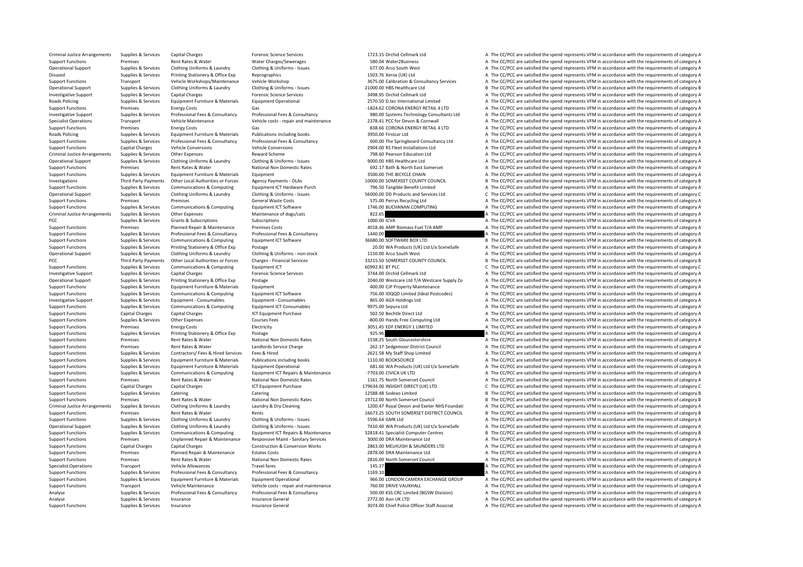Criminal Justice Arrangements Supplies & Services Capital Charges A The Criminal Charges Forensic Science Services Forensic Science Services 1723.15 Orchid Cellmark Ltd A The CC/PCC are satisfied the spend represents VFM i Support Functions Premises Rent Rates & Water Water Charges/Sewerages SBO.04 Water2Business A The CC/PCC are satisfied the spend represents VFM in accordance with the requirements of category A Operational Support Supplies & Services Clothing Uniforms & Laundry Clothing & Uniforms - Issues 677.00 Arco South West A The CC/PCC are satisfied the spend represents VFM in accordance with the requirements of category A Disused Supplies & Services Printing Stationery & Office Exp Reprographics Reprographics 1503.76 Xerox (UK) Ltd A The CC/PCC are satisfied the spend represents VFM in accordance with the requirements of category A The Coro Transport Vehicle Workshops/Maintenance Vehicle Workshop 3675.00 Calibration & Consultancy Services A The CC/PCC are satisfied the spend represents VFM in accordance with the requirements of category A Operational Support Supplies & Services Clothing Uniforms & Laundry Clothing & Uniforms - Issues 21000.00 HBS Healthcare Ltd Bille and Bille COC/PCC are satisfied the spend represents VFM in accordance with the requirement Investigative Support Supplies & Services Capital Charges Marges Forensic Science Services 3498.95 Orchid Cellmark Ltd A The CC/PCC are satisfied the spend represents VFM in accordance with the requirements of category A Roads Policing Supplies & Services Foulyoment Furniture & Materials Foulyoment Operational Furniture and the CONSO D.1ec International Limited A The CC/PCC are satisfied the spend represents VFM in accordance with the requ Support Functions Premises Energy Costs Gas Gas Gas and the Support Function and the CC/PCC are satisfied the spend represents VFM in accordance with the requirements of category A Investigative Supplies & Services Professional Fees & Consultancy Professional Fees & Consultancy Professional Fees & Consultancy Professional Fees & Consultancy Professional Fees & Consultancy Professional Fees & Consulta Specialist Operations Transport Vehicle Maintenance Vehicle costs repair and maintenance 2378.41 PCC for Devon & Cornwall A The CC/PCC are satisfied the spend represents VFM in accordance with the requirements of category Support Functions Premises Fuergy Costs Gas Gas 838.66 CORONA ENFRGY RETAIL 41TD A The CC/PCC are satisfied the spend represents VFM in accordance with the requirements of category A Roads Policing Supplies & Services Equipment Furniture & Materials Publications including books 3950.00 Firstcar Ltd A The CC/PCC are satisfied the spend represents VFM in accordance with the requirements of category A Support Functions Supplies & Services Professional Fees & Consultancy Professional Fees & Consultancy Professional Fees & Consultancy Consultancy Mark and Support Consultancy Ltd A The CC/PCC are satisfied the spend repres Support Functions Capital Charges Vehicle Conversions Vehicle Conversions Vehicle Conversions 2904.00 RS Fleet Installations Ltd A The CC/PCC are satisfied the spend represents VFM in accordance with the requirements of ca Criminal Justice Arrangements Supplies & Services Other Expenses Reward Scheme 798.60 Pearson Education Ltd A The CC/PCC are satisfied the spend represents VFM in accordance with the requirements of category A Operational Supplies A Supplies & Services Clothing Uniforms & Laundry Clothing & Uniforms Cause Clothing A Uniforms - Issues 9000.00 HBS Healthcare Ltd A The CC/PCC are satisfied the spend represents VFM in accordance wit Support Functions Premises Rent Rates & Water National Non Domestic Rates 692.17 Bath & North East Somerset A The CC/PCC are satisfied the spend represents VFM in accordance with the requirements of category A The Criment Support Functions Supplies & Services Equipment Furniture & Materials Equipment and the service and a service CHAIN A The CC/PCC are satisfied the spend represents VFM in accordance with the requirements of category A Investigations Third Party Payments Other Local Authorities or Forces Agency Payments - OLAS 10000.00 SOMERSET COUNTY COUNCIL BThe CC/PCC are satisfied the spend represents VFM in accordance with the requirements of catego A The CC/PCC are satisfied the spend represents VEM in accordance with the requirements of category A Contained Supplies & Services Clothing Uniforms & Laundry Clothing & Uniforms - Issues Services Services Ind Services Int C. The CC/PCC are satisfied the spend represents VEM in accordance with the requirements of category Support Functions Premises Premises Premises Support General Waste Costs STS.00 Perrys Recycling Ltd A The CC/PCC are satisfied the spend represents VFM in accordance with the requirements of category A Support Functions Supplies & Services Communications & Computing Equipment ICT Software Equipment ICT Software 1746.00 BUCHANAN COMPUTING A The CC/PCC are satisfied the spend represents VFM in accordance with the requireme A The CC/PCC are satisfied the spend represents VFM in accordance with the requirements of category A PCC Supplies & Services Grants & Subscriptions Subscriptions Subscriptions of the Subscriptions of the Subscriptions of category A The CC/PCC are satisfied the spend represents VFM in accordance with the requirements of ca Support Functions Premises Planned Repair & Maintenance Premises Costs 4018.46 AMP Biomass Fuel T/A AMP A The CC/PCC are satisfied the spend represents VFM in accordance with the requirements of category A Support Functions Supplies & Services Professional Fees & Consultancy Professional Fees & Consultancy Professional Fees & Consultancy 1440.00 a The CC/PCC are satisfied the spend represents VFM in accordance with the requi B The CC/PCC are satisfied the spend represents VFM in accordance with the requirements of category B Support Functions Supplies & Services Printing Stationery & Office Exp Postage 20.00 WA Products (UK) Ltd t/a SceneSafe A The CC/PCC are satisfied the spend represents VFM in accordance with the requirements of category A Operational Support Supplies & Services Clothing Uniforms & Laundry Clothing & Uniforms - non-stock 2016 Colomic Clothing Clothing A Uniforms - non-stock 2016 2016 2017 150.00 Arco South West A The CC/PCC are satisfied the PCC Third Party Payments Other Local Authorities or Forces Charges - Financial Services 33215.50 SOMERSET COUNTY COUNCIL B The CC/PCC are satisfied the spend represents VFM in accordance with the requirements of category C C The CC/PCC are satisfied the spend represents VFM in accordance with the requirements of category C Investigative Support Supplies & Services Capital Charges Capital Charges Forensic Science Services Forensic Science Services 3744.00 Orchid Cellmark Ltd A The CC/PCC are satisfied the spend represents VFM in accordance wi Operational Support Supplies & Services Printing Stationery & Office Exp Postage Printing Stationery & Office Exp Postage Printing Stationery & Office Exp Protage Printing Stationery & Office Exp Protage Printing Stationer Support Functions Supplies & Services Equipment Furniture & Materials Equipment and the materials Equipment 400.00 CJP Property Maintenance A The CC/PCC are satisfied the spend represents VFM in accordance with the require Sunnort Eunctions Sunniles & Separates Communications & Communications & Communications & Communications Equipment ICT Software 756.00 IDOOD Limited (Ideal Postcodes) a The CC/PCC are satisfied the spend represents VEM in Investigative Support Supplies & Services Equipment - Consumables Equipment - Consumables Equipment - Consumables Bas.00 AGX Holdings Ltd A The CC/PCC are satisfied the spend represents VFM in accordance with the requireme Support Functions Supplies & Services Communications & Computing Foundment ICT Consumables 9975.00 Sepura Ltd A The CC/PCC are satisfied the spend represents VFM in accordance with the requirements of category A Support Functions Capital Charges Capital Charges Support Purchase ICT Equipment Purchase 502.50 Bechtle Direct Ltd A The CC/PCC are satisfied the spend represents VFM in accordance with the requirements of category A Support Functions Supplies & Services Other Expenses 
Courses Fees Courses Courses Courses Courses Fees Courses Free Computing Ltd A The CC/PCC are satisfied the spend represents VFM in accordance with the requirements of Electricity Electricity and the COST SUPPORT A The CC/PCC are satisfied the spend represents VFM in accordance with the requirements of category A The CONCC are satisfied the spend represents VFM in accordance with the req Support Functions Supplies & Services Printing Stationery & Office Exp Postage 925.96 925.96 A The CC/PCC are satisfied the spend represents VFM in accordance with the requirements of category A Support Functions Premises Rent Rates & Water National Non Domestic Rates 1538.25 South Gloucestershire A The CC/PCC are satisfied the spend represents VFM in accordance with the requirements of category A Support Functions Premises Premises Rent Rates & Water Landlords Service Charge 262.17 Sedgemoor District Council A The CC/PCC are satisfied the spend represents VFM in accordance with the requirements of category A The Co A The CC/PCC are satisfied the spend represents VFM in accordance with the requirements of category A Support Functions Supplies & Services Equipment Furniture & Materials Publications including books 1110.00 BOOKSOURCE A The CC/PCC are satisfied the spend represents VFM in accordance with the requirements of category A Supplies Supplies & Services Equipment Furniture & Materials Equipment Operational Equipment Operational 58.1.66 WA Products (UK) Ltd t/a SceneSafe A The CC/PCC are satisfied the spend represents VFM in accordance with the Support Functions Support Support Support Communications & Communications Communications Communications Communications communications communications communications communications communications communications communication Support Functions Premises Rent Rates & Water National Non Domestic Rates 1161.75 North Somerset Council A The CC/PCC are satisfied the spend represents VFM in accordance with the requirements of category A Support Functions Capital Charges Capital Charges ICT Equipment Purchase 179634.00 INSIGHT DIRECT (UK) LTD C The CC/PCC are satisfied the spend represents VFM in accordance with the requirements of category C Support Functions Supplies & Services Catering Catering Catering Catering Catering Catering Catering Catering Catering and the spend in the spend represents VFM in accordance with the requirements of category B The CC/PCC Support Functions Premises Rent Rates & Water National Non Domestic Rates 19712.00 North Somerset Council B The CC/PCC are satisfied the spend represents VFM in accordance with the requirements of category B Criminal Justice Arrangements Supplies & Services Clothing Uniforms & Laundry Laundry & Dry Cleaning Manny ADD Cleaning 1200.47 Royal Devon and Exeter NHS Foundati A The CC/PCC are satisfied the spend represents VFM in acc Support Functions Premises Rent Rates & Water Rents Rents Rents Rents Rents Rents Rents Rents Rents Rents Rents<br>Support Functions A The CC/PCC are satisfied the spend represents VFM in accordance with the requirements of c Support Functions Supplies & Services Clothing Uniforms & Laundry Clothing & Uniforms - Issues 5596.64 GMK Ltd A The CC/PCC are satisfied the spend represents VFM in accordance with the requirements of category A The Criti Containers Supplies & Services Clothing Uniforms & Laundry Clothing & Uniforms - Issues 7410.40 WA Products (UK) I to the Serve Safe A The CC/PCC are satisfied the spend represents VEM in accordance with the requirements o Supplies Supplies & Services Communications & Computing Equipment ICT Repairs & Maintenance 32818.41 Specialist Computer Centres B The CC/PCC are satisfied the spend represents VFM in accordance with the requirements of ca Support Functions Premises Unplanned Repair & Maintenance Responsive Maint - Sanitary Services 3000.00 DRA Maintenance Ltd A The CC/PCC are satisfied the spend represents VFM in accordance with the requirements of category Support Functions Capital Charges Capital Charges Construction & Conversion Works 2863.00 MELHUISH & SAUNDERS LTD A The CC/PCC are satisfied the spend represents VFM in accordance with the requirements of category A Support Functions Premises Planned Repair & Maintenance Estates Costs 2878.00 DRA Maintenance Ltd A The CC/PCC are satisfied the spend represents VFM in accordance with the requirements of category A Support Functions Premises Rent Rates & Water National Non Domestic Rates 2816.00 North Somerset Council A The CC/PCC are satisfied the spend represents VFM in accordance with the requirements of category A Specialist Operations Transport Vehicle Allowances Travel fares Travel fares 145.37 A The CC/PCC are satisfied the spend represents VFM in accordance with the requirements of category A Support Functions Supplies & Services Professional Fees & Consultancy Professional Fees & Consultancy Professional Fees & Consultancy 1169.10 A The CC/PCC are satisfied the spend represents VFM in accordance with the requi Supplies & Services Equipment Furniture & Materials Equipment Operational environment of the CODUM DREA EXCHANGE GROUP A The CC/PCC are satisfied the spend represents VFM in accordance with the requirements of category A V A The CC/PCC are satisfied the spend represents VFM in accordance with the requirements of category A Supplies & Services Professional Fees & Consultancy Professional Fees & Consultancy Professional Fees & Consultancy Professional Fees & Consultancy Professional Fees & Consultancy Professional Fees & Consultancy 500.00 KSS Analyse Supplies & Services Insurance Insurance General Insurance General 2772.00 Aon UK LTD A The CC/PCC are satisfied the spend represents VFM in accordance with the requirements of category A Support Functions Supplies & Services Insurance Insurance General Insurance General 3074.00 Chief Police Officer Staff Associat A The CC/PCC are satisfied the spend represents VFM in accordance with the requirements of cat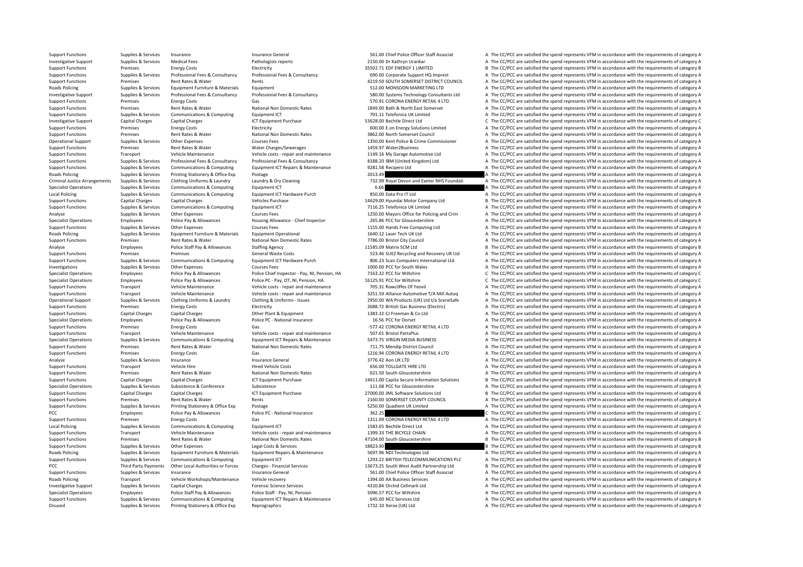Disused Supplies & Services Printing Stationery & Office Exp Reprographics Reprographics 1732.10 Xerox (UK) Ltd A The CC/PCC are satisfied the spend represents VFM in accordance with the requirements of category A

Support Functions Supplies & Services Insurance Insurance General Insurance General Spence Insurance Seneral Spence Staff Associat A The CC/PCC are satisfied the spend represents VFM in accordance with the requirements of Investigative Support Supplies & Services Medical Fees Pathologists reports Pathologists reports 2150.00 Dr Kathryn Urankar A The CC/PCC are satisfied the spend represents VFM in accordance with the requirements of categor Support Functions Premises Energy Costs Electricity Electricity 35502.71 EDF ENERGY 1 LIMITED B The CC/PCC are satisfied the spend represents VFM in accordance with the requirements of category B<br>Support Functions Support Support Functions Supplies & Services Professional Fees & Consultancy Professional Fees & Consultancy Professional Fees & Consultancy Support HQ Imprest A The CC/PCC are satisfied the spend represents VFM in accordance wit examples are rent Rates & Water Rents Alternative Rents And Rents Alternative Council A The CC/PCC are satisfied the spend represents VFM in accordance with the requirements of category A Roads Policing Supplies & Services Equipment Furniture & Materials Equipment Equipment Equipment Equipment Supplies A The CC/PCC are satisfied the spend represents VFM in accordance with the requirements of category A The Investigative Support Supplies & Services Professional Fees & Consultancy Professional Fees & Consultancy Professional Fees & Consultancy Support Support of the CC/PCC are satisfied the spend represents VFM in accordance w Support Functions Premises Fuergy Costs Gas Gas States Gas 570.91 CORONA ENFRGY RETAIL 4 LTD A The CC/PCC are satisfied the spend represents VFM in accordance with the requirements of category A Support Functions Premises Rent Rates & Water National Non Domestic Rates 1849.00 Bath & North East Somerset A The CC/PCC are satisfied the spend represents VFM in accordance with the requirements of category A Support Functions Supplies & Services Communications & Computing Faultoment ICT 701.11 Telefonica UK Limited A The CC/PCC are satisfied the spend represents VFM in accordance with the requirements of category A Investigative Support Capital Charges Capital Charges Sapital Charges ICT Equipment Purchase 53628.00 Bechtle Direct Ltd C The CC/PCC are satisfied the spend represents VFM in accordance with the requirements of category C Support Functions Premises Fuergy Costs Electricity Electricity 600.00 E on Energy Solutions Limited A The CC/PCC are satisfied the spend represents VFM in accordance with the requirements of category A Support Functions Premises Rent Rates & Water National Non Domestic Rates 3862.00 North Somerset Council A The CC/PCC are satisfied the spend represents VFM in accordance with the requirements of category A The Criteria Co Operational Support Supplies & Services Other Expenses Courses Fees Courses Fees 1350.00 Kent Police & Crime Commissioner A The CC/PCC are satisfied the spend represents VFM in accordance with the requirements of category Support Functions Premises Rent Rates & Water Water Charges/Sewerages 1459.97 Water2Business A The CC/PCC are satisfied the spend represents VFM in accordance with the requirements of category A Support Functions Transport Vehicle Maintenance Vehicle costs - repair and maintenance 1149.16 My Garage Automotive Ltd A The CC/PCC are satisfied the spend represents VFM in accordance with the requirements of category A Support Functions Supporters Supporters and the CONSULTING Professional Fees & Consultancy Professional Fees & Consultancy Professional Fees & Consultancy Professional Fees & Consultancy 20138.20 IBM (United Kingdom) Ltd A Support Functions Supplies & Services Communications & Computing Foulpment ICT Repairs & Maintenance 9281.58 Recipero Ltd A The CC/PCC are satisfied the spend represents VFM in accordance with the requirements of category Roads Policing Supplies & Services Printing Stationery & Office Exp Postage 2013.49 2013.49 A The CC/PCC are satisfied the spend represents VFM in accordance with the requirements of category A Criminal Justice Arrangements Supplies & Services Clothing Uniforms & Laundry Laundry A Dry Cleaning and the Management of category A The CC/PCC are satisfied the spend represents VFM in accordance with the requirements of Specialist Operations Specialist Operations Specialist Operations Supplies & Services A The CC/PCC are satisfied the spend represents VFM in accordance with the requirements of category A The Criteria and the requirements Local Policing Supplies & Services Communications & Computing Fquipment ICT Hardware Purch 850.00 Data Pro IT Ltd A The CC/PCC are satisfied the spend represents VFM in accordance with the requirements of category A Support Functions Capital Charges Capital Charges Capital Charges Vehicles Purchase 14629.00 Hyundai Motor Company Ltd B The CC/PCC are satisfied the spend represents VFM in accordance with the requirements of category B Support Functions Supplies & Services Communications & Computing Equipment ICT 7116.25 Telefonica UK Limited A The CC/PCC are satisfied the spend represents VFM in accordance with the requirements of category A The CAL Lim Analyse Supplies & Services Other Expenses Courses Fees Courses Fees 1250.00 Mayors Office for Policing and Crim A The CC/PCC are satisfied the spend represents VFM in accordance with the requirements of category A Specialist Operations Employees Police Pay & Allowances Housing Allowance - Chief Inspector 265.86 PCC for Gloucestershire A The CC/PCC are satisfied the spend represents VFM in accordance with the requirements of category Support Functions Supplies & Services Other Expenses Courses Fees 1155.00 Hands Free Computing Ltd A The CC/PCC are satisfied the spend represents VFM in accordance with the requirements of category A Roads Policing Supplies A Supplies & Services Equipment Furniture & Materials Equipment Operational A The COLLISERT Ech UK Ltd A The CC/PCC are satisfied the spend represents VFM in accordance with the requirements of cate A The CC/PCC are satisfied the spend represents VFM in accordance with the requirements of category A Analyse Employees Police Staff Pay & Allowances Staffing Agency 11585.09 Matrix SCM Ltd B The CC/PCC are satisfied the spend represents VFM in accordance with the requirements of category B Support Functions Premises Premises Premises Premises Seneral Waste Costs S23.46 SUEZ Recycling and Recovery UK Ltd A The CC/PCC are satisfied the spend represents VFM in accordance with the requirements of category A Supplies & Services Communications & Computing Equipment ICT Hardware Purch 200.23 Scan Computers International Ltd A The CC/PCC are satisfied the spend represents VFM in accordance with the requirements of category A Cour A The CC/PCC are satisfied the spend represents VFM in accordance with the requirements of category A Specialist Operations Employees Police Pay & Allowances Police Chief Inspector - Pay, NJ, Pension, HA 7163.32 PCC for Wiltshire C. The CC/PCC are satisfied the spend represents VFM in accordance with the requirements of ca Specialist Operations Employees Police Pay & Allowances Police PC - Pay, OT, NI, Pension, HA 16125.91 PCC for Wiltshire C The CC/PCC are satisfied the spend represents VFM in accordance with the requirements of category C Support Functions Transport Vehicle Maintenance Vehicle costs ‐ repair and maintenance 705.31 Rowcliffes Of Yeovil A The CC/PCC are satisfied the spend represents VFM in accordance with the requirements of category A Sunnort Eunctions Transport Vehicle Maintenance Vehicle costs-renair and maintenance 3251.59 Alliance Automotive T/A Mill Auton A The CC/PCC are satisfied the spend represents VEM in accordance with the requirements of cat Operational Supply of the Compless Services Clothing Uniforms & Laundry Clothing & Uniforms - Issues 2950.00 WA Products (UK) Ltd t/a SceneSafe A The CC/PCC are satisfied the spend represents VFM in accordance with the req Support Functions Premises Energy Costs Electricity Electricity 2688.72 British Gas Business (Electricity A The CC/PCC are satisfied the spend represents VFM in accordance with the requirements of category A Support Functions Capital Charges Capital Charges Capital Charges Capital Charges Other Plant & Equipment 2012<br>1383.32 CJ Freeman & Co Ltd A The CC/PCC are satisfied the spend represents VFM in accordance with the requirem Specialist Operations Employees Police Pay & Allowances Police PC - National Insurance 16.56 PCC for Dorset A The CC/PCC are satisfied the spend represents VFM in accordance with the requirements of category A The Criteria Support Functions Premises Energy Costs Category A Gas and Gas and Gas and Controller Costs Gas and Controller<br>Transport Support Controller Controller Costs Category A The CC/PCC are satisfied the spend represents VFM in a Support Functions Transport Vehicle Maintenance Vehicle costs ‐ repair and maintenance 507.01 Bristol PartsPlus A The CC/PCC are satisfied the spend represents VFM in accordance with the requirements of category A Supplies & Services Communications & Computing Equipment ICT Repairs & Maintenance 5473.75 VIRGIN MEDIA BUSINESS A The CC/PCC are satisfied the spend represents VFM in accordance with the requirements of category A Support Functions Premises Rent Rates Rent Rates Rent Rates National Non Domestic Rates 711.75 Mendip District Council A The CC/PCC are satisfied the spend represents VFM in accordance with the requirements of category A T Premises Energy Costs Gas Gas Contract Gas 1216.94 CORONA ENERGY RETAIL 4 LTD A The CC/PCC are satisfied the spend represents VFM in accordance with the requirements of category A Analyse Supplies & Services Insurance Supprements of category A Insurance General and a Strong and Managements of category A The CC/PCC are satisfied the spend represents VFM in accordance with the requirements of category Support Functions Transport Vehicle Hire Hire Hired Vehicle Costs Hired Vehicle Costs 656.00 TOLLGATE HIRE LTD A The CC/PCC are satisfied the spend represents VFM in accordance with the requirements of category A The Crip Support Functions Premises Rent Rates & Water National Non Domestic Rates 621.50 South Gloucestershire A The CC/PCC are satisfied the spend represents VFM in accordance with the requirements of category A Support Functions Capital Charges Capital Charges ICT Equipment Purchase 14611.00 Capita Secure Information Solutions B The CC/PCC are satisfied the spend represents VFM in accordance with the requirements of category B Specialist Operations Supplies & Services Subsistence Subsistence Subsistence Subsistence Subsistence Subsistence Subsistence and Subsistence Subsistence Subsistence Subsistence Subsistence Subsistence Subsistence Subsiste Support Functions Capital Charges Capital Charges Capital Charges ICT Equipment Purchase 27000.00 JML Software Solutions Ltd B The CC/PCC are satisfied the spend represents VFM in accordance with the requirements of catego Support Functions Premises Rent Rates & Water Rents Rents Rents 2160.00 SOMERSET COUNTY COUNCIL A The CC/PCC are satisfied the spend represents VFM in accordance with the requirements of category A Support Functions Supplies & Services Printing Stationery & Office Exp Postage Protage and S250.00 Quadient UK Limited A The CC/PCC are satisfied the spend represents VFM in accordance with the requirements of category A PCC POLICE PAY Allowances Police Pay & Allowances Police PC - National Insurance 362.25 C The CC/PCC are satisfied the spend represents VFM in accordance with the requirements of category C<br>Support Functions Premises Premi Support Functions Premises Energy Costs Gas Gas 1311.09 CORONA ENERGY RETAIL 4 LTD A The CC/PCC are satisfied the spend represents VFM in accordance with the requirements of category A The CC/PC are satisfied the spend rep Local Policing Supplies & Services Communications & Computing Foulpment ICT 1583.65 Bechtle Direct Ltd A The CC/PCC are satisfied the spend represents VFM in accordance with the requirements of category A Support Functions Transport Vehicle Maintenance Vehicle costs ‐ repair and maintenance 1399.33 THE BICYCLE CHAIN A The CC/PCC are satisfied the spend represents VFM in accordance with the requirements of category A Support Functions Premises Rent Rates & Water National Non Domestic Rates 47104.00 South Gloucestershire B The CC/PCC are satisfied the spend represents VFM in accordance with the requirements of category B<br>Support Functio Support Functions Supplies & Services Other Expenses Legal Costs & Services 18823.90 B The CC/PCC are satisfied the spend represents VFM in accordance with the requirements of category B Roads Policing Supplies & Services Equipment Furniture & Materials Equipment Repairs & Maintenance 5697.96 NDI Technologies Ltd A The CC/PCC are satisfied the spend represents VFM in accordance with the requirements of cat Support Functions Supplies & Services Communications & Computing Equipment ICT Equipment ICT 1293.22 BRITISH TELECOMMUNICATIONS PLC A The CC/PCC are satisfied the spend represents VFM in accordance with the requirements of Third Party Payments Other Local Authorities or Forces Charges - Financial Services 21673.25 South West Audit Partnership Ltd B The CC/PCC are satisfied the spend represents VFM in accordance with the requirements of categ Support Functions Supplies & Services Insurance Insurance General Insurance General Service Insurance Officer Staff Associat A The CC/PCC are satisfied the spend represents VFM in accordance with the requirements of catego Roads Policing Transport Vehicle Workshops/Maintenance Vehicle recovery 1394.00 AA Business Services A The CC/PCC are satisfied the spend represents VFM in accordance with the requirements of category A Investigative Suppo A The CC/PCC are satisfied the spend represents VFM in accordance with the requirements of category A Specialist Operations Employees Police Staff Pay & Allowances Police Staff - Pay, NI, Pension 5096.57 PCC for Wiltshire A The CC/PCC are satisfied the spend represents VFM in accordance with the requirements of category A Support Functions Supplies & Services Communications & Computing Equipment ICT Repairs & Maintenance 645.00 NCC Services Ltd 65.00 A The CC/PCC are satisfied the spend represents VFM in accordance with the requirements of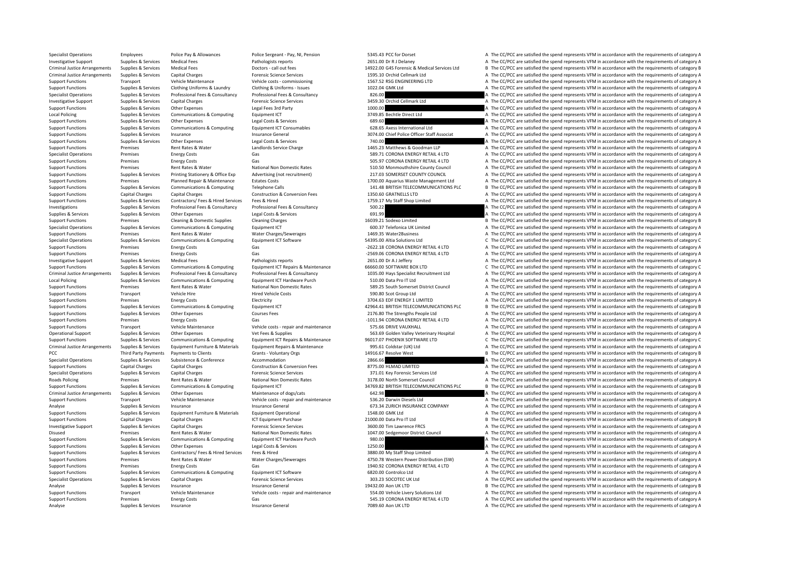Specialist Operations Employees Police Pay & Allowances Police Sergeant - Pay, NI, Pension 5345.43 PCC for Dorset A The CC/PCC are satisfied the spend represents VFM in accordance with the requirements of category A Investigative Support Supplies & Services Medical Fees Pathologists reports Pathologists reports 2651.00 Dr R J Delaney A The CC/PCC are satisfied the spend represents VFM in accordance with the requirements of category A Criminal Justice Arrangements Supplies & Services Medical Fees Doctors call out fees and the call out fees and the call out fees and the search of the CCPC are satisfied the spend represents VFM in accordance with the requ Criminal Justice Arrangements Supplies & Services Capital Charges Capital Charges Forensic Science Services 1595.10 Orchid Cellmark Ltd A The CC/PCC are satisfied the spend represents VFM in accordance with the requirement Support Functions Transport Vehicle Maintenance Vehicle costs ‐ commissioning 1567.52 RSG ENGINEERING LTD A The CC/PCC are satisfied the spend represents VFM in accordance with the requirements of category A Support Functions Supplies & Services Clothing Uniforms & Laundry Clothing & Uniforms - Issues 1022.04 GMK Ltd A The CC/PCC are satisfied the spend represents VFM in accordance with the requirements of category A Specialist Operations Supplies & Services Professional Fees & Consultancy Professional Fees & Consultancy Professional Fees & Consultancy Professional Fees & Consultancy and a Consultance and the consultance and the spend Investigative Support Supplies & Services Capital Charges Services Forensic Science Services 3459.30 Orchid Cellmark Itd A The CC/PCC are satisfied the spend represents VFM in accordance with the requirements of category A Support Functions Supplies & Services Other Expenses Legal Fees 3rd Party 1000.00 A The CC/PCC are satisfied the spend represents VFM in accordance with the requirements of category A Local Policing Supplies & Services Communications & Computing Foulpment ICT 3749.85 Bechtle Direct Ltd A The CC/PCC are satisfied the spend represents VFM in accordance with the requirements of category A Support Functions Supplies & Services Other Expenses Legal Costs & Services 689.60 A The CC/PCC are satisfied the spend represents VFM in accordance with the requirements of category A The CC/PCC are satisfied the spend re Support Functions Supplies & Services Communications & Computing Faultoment ICT Consumables 628.65 Axess International Ltd A The CC/PCC are satisfied the spend represents VFM in accordance with the requirements of category Support Functions Supplies & Services Insurance Insurance General and the Service Officer Staff Associat A The CC/PCC are satisfied the spend represents VFM in accordance with the requirements of category A Support Functions Supplies & Services Other Expenses Legal Costs & Services 2001 2000 740.00 A The CC/PCC are satisfied the spend represents VFM in accordance with the requirements of category A The Critical Costs are sent Support Functions Premises Rent Rates & Water Landlords Service Charge 1465.23 Matthews & Goodman LLP A The CC/PCC are satisfied the spend represents VFM in accordance with the requirements of category A Specialist Operations Premises Energy Costs Gas Gas Gas SP.71 CORONA ENERGY RETAIL 4 LTD A The CC/PCC are satisfied the spend represents VFM in accordance with the requirements of category A Support Functions Premises Energy Costs Gas Gas Gas Support Retaining the CC/PCC are satisfied the spend represents VFM in accordance with the requirements of category A Support Functions Premises Rent Rates & Water National Non Domestic Rates Support Functional A The CC/PCC are satisfied the spend represents VFM in accordance with the requirements of category A The County Council A The CC Support Functions Supplies & Services Printing Stationery & Office Exp Advertising (not recruitment) 217.03 SOMERSET COUNTY COUNCIL A The CC/PCC are satisfied the spend represents VFM in accordance with the requirements of Support Functions Premises Planned Repair & Maintenance Estates Costs 1700.00 Aquarius Waste Management Ltd A The CC/PCC are satisfied the spend represents VFM in accordance with the requirements of category A The Costs 19 Support Functions Supplies & Services Communications & Computing Telephone Calls 141.48 BRITISH TELECOMMUNICATIONS PLC <sup>B</sup> The CC/PCC are satisfied the spend represents VFM in accordance with the requirements of category B Support Functions Capital Charges Capital Charges Construction & Conversion Fees 1350.60 GRATNELLS LTD A The CC/PCC are satisfied the spend represents VFM in accordance with the requirements of category A Support Functions Supplies & Services Contractors/ Fees & Hired Services Fees & Hired 1759.17 My Staff Shop Limited A The CC/PCC are satisfied the spend represents VFM in accordance with the requirements of category A Investigations Supplies & Services Professional Fees & Consultancy Professional Fees & Consultancy Professional Fees & Consultancy Supplies A The CC/PCC are satisfied the spend represents VFM in accordance with the require Supplies A Service Corporation Supplies A Service Corporation Supplies A The CC/PCC are satisfied the spend represents VFM in accordance with the requirements of category A Services 691.99 A The CC/PCC are satisfied the sp Support Functions Premises Cleaning & Domestic Supplies Cleaning Charges Cleaning Charges 16039.21 Sodexo Limited B The CC/PCC are satisfied the spend represents VFM in accordance with the requirements of category B Specialist Operations Supplies & Services Communications & Computing Equipment ICT 600.37 Telefonica UK Limited A The CC/PCC are satisfied the spend represents VFM in accordance with the requirements of category A Support Functions Premises Rent Rates & Water Water Charges/Sewerages 1993.59 Water 2Business A The CC/PCC are satisfied the spend represents VFM in accordance with the requirements of category A The Support of the spend r C The CC/PCC are satisfied the spend represents VFM in accordance with the requirements of category C Support Functions Premises Energy Costs Gas Gas Gas Corona ENERGY RETAIL 4 LTD A The CC/PCC are satisfied the spend represents VFM in accordance with the requirements of category A Support Functions Premises Energy Costs Gas Gas Gas CORONA ENERGY RETAIL 4 LTD A The CC/PCC are satisfied the spend represents VFM in accordance with the requirements of category A Investigative Support Supplies & Services Medical Fees Pathologists reports Pathologists reports 2651.00 Dr A J Leffery A The CC/PCC are satisfied the spend represents VFM in accordance with the requirements of category A C The CC/PCC are satisfied the spend represents VFM in accordance with the requirements of category C Criminal Justice Arrangements Supplies & Services Professional Fees & Consultancy Professional Fees & Consultancy Professional Fees & Consultancy Professional Fees & Consultancy Professional Fees & Consultancy Consultancy Local Policing Supplies & Services Communications & Computing Fquipment ICT Hardware Purch 510.00 Data Pro IT Ltd A The CC/PCC are satisfied the spend represents VFM in accordance with the requirements of category A Support Functions Premises Rent Rates & Water National Non Domestic Rates 589.25 South Somerset District Council A The CC/PCC are satisfied the spend represents VFM in accordance with the requirements of category A Support Functions Transport Vehicle Hire Support Hired Vehicle Costs 500.80 Scot Group Ltd A The CC/PCC are satisfied the spend represents VFM in accordance with the requirements of category A Support Functions Premises Energy Costs Electricity Electricity Electricity Electricity Electricity and the state of the Support Electricity and the Support Functions and the spend represents VFM in accordance with the req Support Functions Supplies & Services Communications & Computing Fouldment ICT 42964.41 BRITISH TELECOMMUNICATIONS PLC B The CC/PCC are satisfied the spend represents VFM in accordance with the requirements of category B Support Functions Supplies & Services Other Expenses 2001 Courses Fees 2176.80 The Strengths People Ltd A The CC/PCC are satisfied the spend represents VFM in accordance with the requirements of category A The CC/PCC are s Support Functions Premises Energy Costs Energy Costs Gas Gas Gas -1011.94 CORONA ENERGY RETAIL 4 LTD A The CC/PCC are satisfied the spend represents VFM in accordance with the requirements of category A Theory Costs Fear o Transport Vehicle Maintenance Vehicle costs ‐ repair and maintenance 575.66 DRIVE VAUXHALL A The CC/PCC are satisfied the spend represents VFM in accordance with the requirements of category A Operational Support Supplies Services Other Expenses Vet Fees & Supplies Services Supplies 563.69 Golden Valley Veterinary Hospital A The CC/PCC are satisfied the spend represents VFM in accordance with the requirements of Support Functions Supplies & Services Communications & Computing Equipment ICT Repairs & Maintenance 96017.07 PHOENIX SOFTWARE LTD C The CC/PCC are satisfied the spend represents VFM in accordance with the requirements of Criminal Justice Arrangements Supplies & Services Equipment Furniture & Materials Equipment Repairs & Maintenance 995.61 Coldstar (UK) Ltd a A The CC/PCC are satisfied the spend represents VFM in accordance with the requir PCC Third Party Payments Payments to Clients Grants Voluntary Orgs 14916.67 Resolve West B The CC/PCC are satisfied the spend represents VFM in accordance with the requirements of category B Specialist Operations Supplies & Services Subsistence 8 Conference Accommodation 2866.66 A The CC/PCC are satisfied the spend represents VFM in accordance with the requirements of category A Support Functions Capital Charges Capital Charges Capital Charges Construction & Conversion Fees 8775.00 HLMAD LIMITED A The CC/PCC are satisfied the spend represents VFM in accordance with the requirements of category A T Specialist Operations Supplies & Services Capital Charges Capital Charges Forencic Science Services 371.01 Key Forensic Services Ltd A The CC/PCC are astisfied the spend represents VFM in accordance with the requirements o Roads Policing Premises Rent Rates & Water National Non Domestic Rates 3178.00 North Somerset Council A The CC/PCC are satisfied the spend represents VFM in accordance with the requirements of category A Support Functions Supplies & Services Communications & Computing Equipment ICT 34769.82 BRITISH TELECOMMUNICATIONS PLC B The CC/PCC are satisfied the spend represents VFM in accordance with the requirements of category B Criminal Justice Arrangements Supplies & Services Other Expenses Maintenance of dogs/cats Maintenance of dogs/cats 642.98 A The CC/PCC are satisfied the spend represents VFM in accordance with the requirements of category Support Functions Transport Vehicle Maintenance Vehicle costs ‐ repair and maintenance 536.20 Darwin Diesels Ltd A The CC/PCC are satisfied the spend represents VFM in accordance with the requirements of category A Analyse Supplies & Services Insurance Supprements of category A Insurance General G73.34 ZURICH INSURANCE COMPANY A The CC/PCC are satisfied the spend represents VFM in accordance with the requirements of category A Support Functions Supplies & Services Equipment Furniture & Materials Equipment Operational exacts Equipment Operational 1548.00 GMK Ltd A The CC/PCC are satisfied the spend represents VFM in accordance with the requiremen Support Functions Capital Charges Capital Charges 2001 2001 2000.00 Data Pro IT Ltd B The CC/PCC are satisfied the spend represents VFM in accordance with the requirements of category B Investigative Support The Support Ch Investigative Support Supplies & Services Capital Charges Services Forensic Science Services 3600.00 Tim Lawrence FRCS A The CC/PCC are satisfied the spend represents VFM in accordance with the requirements of category A Disused Premises Rent Rates & Water National Non Domestic Rates 1047.00 Sedgemoor District Council A The CC/PCC are satisfied the spend represents VFM in accordance with the requirements of category A Support Functions Supplies & Services Communications & Computing Equipment ICT Hardware Purch 980.00 980.00 A The CC/PCC are satisfied the spend represents VFM in accordance with the requirements of category A The Criminal Support Functions Supplies & Services Other Expenses Legal Costs & Services 1250.00 A The CC/PCC are satisfied the spend represents VFM in accordance with the requirements of category A Support Functions Supplies & Services Contractors/ Fees & Hired Services Fees & Hired 3880.00 My Staff Shop Limited A The CC/PCC are satisfied the spend represents VFM in accordance with the requirements of category A Support Functions Premises Rent Rates & Water Water Charges/Sewerages 4750.78 Western Power Distribution (SW) A The CC/PCC are satisfied the spend represents VFM in accordance with the requirements of category A The Common Support Functions Premises Premises Energy Costs Gas Gas Gas Gas Communications Gas Communications Gas Communications Gas Communications Gas Communications Communications Communications Communications and Engineergy A The Support Functions Supplies & Services Communications & Computing Equipment ICT Software 6820.00 Controlco Ltd A The CC/PCC are satisfied the spend represents VFM in accordance with the requirements of category A Specialist Operations Supplies & Services Capital Charges A The Services Capital Charges Forensic Science Services Supplies A The CC/PCC are satisfied the spend represents VFM in accordance with the requirements of categor B The CC/PCC are satisfied the spend represents VFM in accordance with the requirements of category B Support Functions Transport Vehicle Maintenance Vehicle costs ‐ repair and maintenance 554.00 Vehicle Livery Solutions Ltd A The CC/PCC are satisfied the spend represents VFM in accordance with the requirements of category Support Functions Premises Energy Costs Gas Gas Gas SAS.19 CORONA ENERGY RETAIL 4 LTD A The CC/PCC are satisfied the spend represents VFM in accordance with the requirements of category A Analyse Supplies & Services Insurance Insurance General Insurance General 7089.60 Aon UK LTD A The CC/PCC are satisfied the spend represents VFM in accordance with the requirements of category A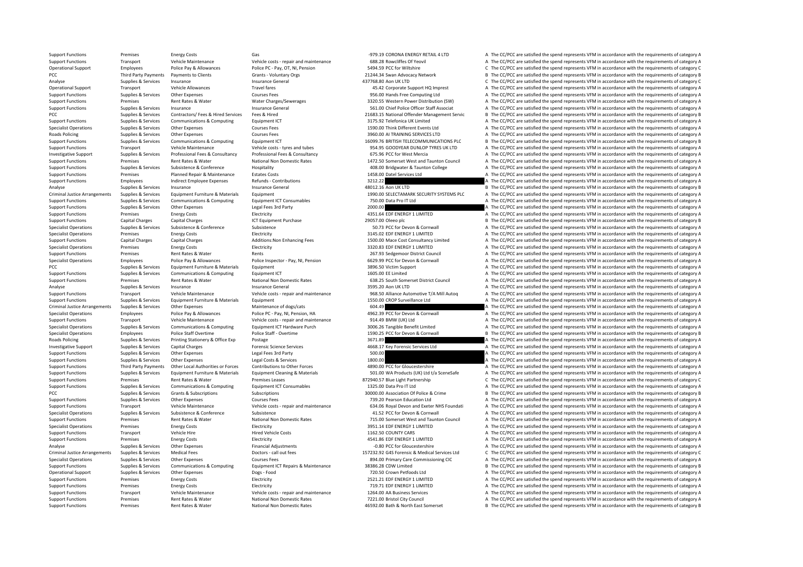Support Functions Premises Energy Costs Gas Gas Gas Communications and Controller A The CC/PCC are satisfied the spend represents VFM in accordance with the requirements of category A Support Functions Transport Vehicle Maintenance Vehicle costs ‐ repair and maintenance 688.28 Rowcliffes Of Yeovil A The CC/PCC are satisfied the spend represents VFM in accordance with the requirements of category A Operational Support Employees Police Pay & Allowances Police PC - Pay, OT, NI, Pension 5494.59 PCC for Wiltshire C The CC/PCC are satisfied the spend represents VFM in accordance with the requirements of category C The Cri PCC Third Party Payments Payments of Clients Grants - Voluntary Orgs 21244.34 Swan Advocacy Network B The CC/PCC are satisfied the spend represents VFM in accordance with the requirements of category B Insurance General Se Analyse Supplies Services Insurance Insurance General Analyse Analyse Insurance General Analyse C The CC/PCC are satisfied the spend represents VFM in accordance with the requirements of category C are satisfied the spend Operational Support Transport Vehicle Allowances Travel fares Travel fares A The CC/PCC are satisfied the spend represents VFM in accordance with the requirements of category A Support Functions Supplies & Services Other Expenses Courses Fees Courses Fees 956.00 Hands Free Computing Ltd A The CC/PCC are satisfied the spend represents VFM in accordance with the requirements of category A Support Functions Premises Rent Rates & Water Water Charges/Sewerages 3320.55 Western Power Distribution (SW) A The CC/PCC are satisfied the spend represents VFM in accordance with the requirements of category A Support Functions Supplies & Services Insurance Insurance General Insurance General Spend and the Section of the CC/PCC are satisfied the spend represents VFM in accordance with the requirements of category A PCC Supplies & Services Contractors/ Fees & Hired Services Fees & Hired 21683.15 National Offender Management Servic B The CC/PCC are satisfied the spend represents VFM in accordance with the requirements of category B<br>Sup Support Functions Supplies & Services Communications & Computing Equipment ICT 3175.92 Telefonica UK Limited A The CC/PCC are satisfied the spend represents VFM in accordance with the requirements of category A The Crip of Specialist Operations Supplies & Services Other Expenses Courses Fees Courses Fees 1590.00 Think Different Events Ltd A The CC/PCC are satisfied the spend represents VFM in accordance with the requirements of category A Roads Policing Supplies & Services Other Expenses Courses Fees 3960.00 AI TRAINING SERVICES LTD A The CC/PCC are satisfied the spend represents VFM in accordance with the requirements of category A<br>Supplies A Services Comm Support Functions Supplies & Services Communications & Computing Faultoment ICT 16099.76 BRITISH TELECOMMUNICATIONS PLC B The CC/PCC are satisfied the spend represents VFM in accordance with the requirements of category B Support Functions Transport Vehicle Maintenance Vehicle costs ‐ tyres and tubes 954.95 GOODYEAR DUNLOP TYRES UK LTD A The CC/PCC are satisfied the spend represents VFM in accordance with the requirements of category A Investigative Support Supplies & Services Professional Fees & Consultancy Professional Fees & Consultancy Professional Fees & Consultancy Professional Fees & Consultancy Professional Fees & Consultancy Support 675.96 PCC f Support Functions Premises Rent Rates & Water National Non Domestic Rates 1472.50 Somerset West and Taunton Council A The CC/PCC are satisfied the spend represents VFM in accordance with the requirements of category A Support Functions Supplies & Services Subsistence Subsistence Hospitality Hospitality + 408.00 Bridgwater & Taunton College A The CC/PCC are satisfied the spend represents VFM in accordance with the requirements of categor Support Functions Premises Planned Repair & Maintenance Estates Costs 1458.00 Datel Services Ltd A The CC/PCC are satisfied the spend represents VFM in accordance with the requirements of category A Support Functions Employees Employees Indirect Employee Expenses Refunds - Contributions Refunds - Contributions 3212.22 A The CC/PCC are satisfied the spend represents VFM in accordance with the requirements of category A Analyse Supplies & Services Insurance Insurance Supplies & Services Insurance General Analyse Insurance Ceneral ADOLOGY B The CC/PCC are satisfied the spend represents VFM in accordance with the requirements of category B Criminal Justice Arrangements Sunnlies & Services Foujoment Furniture & Materials Foujoment Furniture & Materials Foujoment 1990.00 SELECTAMARK SECURITY SYSTEMS PLC A The CC/PCC are satisfied the spend represents VEM in ac Support Functions Supplies & Services Communications & Computing Equipment ICT Consumables 750.00 Data Pro IT Ltd A The CC/PCC are satisfied the spend represents VFM in accordance with the requirements of category A Support Functions Supplies & Services Other Expenses Legal Fees 3rd Party 2000.00 2000.00 A The CC/PCC are satisfied the spend represents VFM in accordance with the requirements of category A The CC/PCC are satisfied the s Support Functions Premises Energy Costs Electricity 4351.64 EDF ENERGY 1 LIMITED A The CC/PCC are satisfied the spend represents VFM in accordance with the requirements of category A Support Functions Capital Charges Capital Charges 2013 2005 20057.00 Oleeo plc 20057.00 Oleeo plc B The CC/PCC are satisfied the spend represents VFM in accordance with the requirements of category B Specialist Operations Supplies & Services Subsistence Subsistence Subsistence Subsistence Subsistence Subsistence Subsistence Subsistence Subsistence Subsistence Subsistence Subsistence Subsistence Subsistence Subsistence Specialist Operations Premises Energy Costs Electricity Electricity Electricity Butchicity 3145.02 EDF ENERGY 1 LIMITED A The CC/PCC are satisfied the spend represents VFM in accordance with the requirements of category A A The CC/PCC are satisfied the spend represents VFM in accordance with the requirements of category A Specialist Operations Premises Energy Costs Electricity Electricity A The CC/PCC are satisfied the spend represents VFM in accordance with the requirements of category A Support Functions Premises Rent Rates & Water Rents Rents Rents Rents Rents Rents Rents Rents Rents Rents Rents Rents Rents Rents Rents Rents A The CC/PCC are satisfied the spend represents VFM in accordance with the requi Specialist Operations Employees Police Pay & Allowances Police Inspector - Pay, NJ, Pension 6629.99 PCC for Devon & Cornwall<br>PCC Are CC/PCC are satisfied the spend represents VFM in accordance with the requirements of cate A The CC/PCC are satisfied the spend represents VFM in accordance with the requirements of category A Support Functions Supplies & Services Communications & Computing Equipment ICT Equipment ICT 1605.00 EE Limited A The CC/PCC are satisfied the spend represents VFM in accordance with the requirements of category A The Crip Support Functions Premises Rent Rates & Water National Non Domestic Rates 638.25 South Somerset District Council A The CC/PCC are satisfied the spend represents VFM in accordance with the requirements of category A Analyse Supplies & Services Insurance Supprements of category A Insurance General and a Service and a Service of the CC/PCC are satisfied the spend represents VFM in accordance with the requirements of category A Sunnort Eunctions Transport Vehicle Maintenance Vehicle costs repair and maintenance Season alliance Automotive T/A Mill Auton A The CC/PCC are satisfied the spend represents VEM in accordance with the requirements of cate Support Functions Supplies & Services Equipment Eurniture & Materials Equipment Equipment Equipment and the Support The CC/PCC are satisfied the spend represents VFM in accordance with the requirements of category A The CC Criminal Justice Arrangements Supplies & Services Other Expenses Maintenance of dogs/cats Maintenance of dogs/cats 604.49 A The CC/PCC are satisfied the spend represents VFM in accordance with the requirements of category Specialist Operations Employees Police Pay & Allowances Police PC - Pay, NI, Pension, HA 4962.39 PCC for Devon & Cornwall A The CC/PCC are satisfied the spend represents VFM in accordance with the requirements of category Support Functions Transport Vehicle Maintenance Vehicle costs – repair and maintenance 914.49 BMW (UK) Ltd A The CC/PCC are satisfied the spend represents VFM in accordance with the requirements of category A The Criteria Communications & Computing Equipment ICT Hardware Purch 3006.26 Tangible Benefit Limited A The CC/PCC are satisfied the spend represents VFM in accordance with the requirements of category A<br>Police Staff Overtime Police St Specialist Operations Employees Police Staff Overtime Police Staff - Overtime 1590.25 PCC for Devon & Cornwall B The CC/PCC are satisfied the spend represents VFM in accordance with the requirements of category B Roads Policing Supplies & Services Printing Stationery & Office Exp Postage 2011.89 3671.89 A The CC/PCC are satisfied the spend represents VFM in accordance with the requirements of category A Investigative Support Supplies & Services Capital Charges Capital Charges Forensic Science Services 4668.17 Key Forensic Services Ltd A The CC/PCC are satisfied the spend represents VFM in accordance with the requirements Other Expenses and The CC/PCC are satisfied the spend represents VFM in accordance with the requirements of category A Support Functions Supplies & Services Other Expenses Legal Costs & Services 1800.00 A The CC/PCC are satisfied the spend represents VFM in accordance with the requirements of category A Support Functions Third Party Payments Other Local Authorities or Forces Contributions to Other Forces 4890.00 PCC for Gloucestershire A The CC/PCC are satisfied the spend represents VFM in accordance with the requirements Sunnort Eunglies & Services Sunning Furniture & Materials Foujoment Cleaning & Materials And Soft Services (1997) For Soft Services California Sunning Cleaning Business And The COPCC are satisfied the spend represents VEM Support Functions Premises Rent Rates & Water Premises Leases 872940.57 Blue Light Partnership C The CC/PCC are satisfied the spend represents VFM in accordance with the requirements of category C Support Functions Supplies & Services Communications & Computing Equipment ICT Consumables 1325.00 Data Pro IT Ltd A The CC/PCC are satisfied the spend represents VFM in accordance with the requirements of category A PCC Supplies & Services Grants & Subscriptions Subscriptions Subscriptions Subscriptions Subscriptions Subscriptions Subscriptions Subscriptions Subscriptions Subscriptions Subscriptions and an experiment of category B Cri Support Functions Supplies Services Other Expenses Courses Fees 739.20 Pearson Education Ltd A The CC/PC are satisfied the spend represents VFM in accordance with the requirements of category A Support Functions Transport Vehicle Maintenance Vehicle costs - repair and maintenance S34.06 Royal Devon and Exeter NHS Foundati A The CC/PCC are satisfied the spend represents VFM in accordance with the requirements of c Specialist Operations Supplies & Services Subsistence Subsistence Subsistence Subsistence Subsistence Subsistence Subsistence and Subsistence and the spend a The CC/PCC are satisfied the spend represents VFM in accordance Support Functions Premises Rent Rates & Water National Non Domestic Rates 715.00 Somerset West and Taunton Council A The CC/PCC are satisfied the spend represents VFM in accordance with the requirements of category A The C Premises Energy Costs Electricity Electricity 3951.14 EDF ENERGY 1 LIMITED A The CC/PCC are satisfied the spend represents VFM in accordance with the requirements of category A Support Functions Transport Vehicle Hire Hire Hired Vehicle Costs 1162.50 COUNTY CARS A The CC/PCC are satisfied the spend represents VFM in accordance with the requirements of category A Support Functions Premises Energy Costs Electricity Electricity (Electricity 1990) and the spend Electricity 4541.86 EDF ENERGY 1 LIMITED A The CC/PCC are satisfied the spend represents VFM in accordance with the requireme Analyse Supplies & Services Other Expenses Financial Adjustments Financial Adjustments **Financial Adjustments** A The CC/PCC are satisfied the spend represents VFM in accordance with the requirements of category A Criminal Justice Arrangements Supplies & Services Medical Fees Doctors - call out fees Doctors and the Supplies Arrangements Supplies & Services Medical Fees Doctors - call out fees 157232.92 G4S Forensic & Medical Service Specialist Operations Supplies & Services Other Expenses Courses Fees Courses Fees 894.00 Primary Care Commissioning CIC A The CC/PCC are satisfied the spend represents VFM in accordance with the requirements of category A Support Functions Supplies & Services Communications & Computing Equipment ICT Repairs & Maintenance 38386.28 CDW Limited B The CC/PCC are satisfied the spend represents VFM in accordance with the requirements of category Operational Support Supplies & Services Other Expenses Dogs - Food Dogs - Food 720.50 Crown Petfoods Ltd A The CC/PCC are satisfied the spend represents VFM in accordance with the requirements of category A Support Functions Premises Energy Costs Electricity Electricity and Electricity 2521.21 EDF ENERGY 1 LIMITED A The CC/PCC are satisfied the spend represents VFM in accordance with the requirements of category A The Compone A The CC/PCC are satisfied the spend represents VFM in accordance with the requirements of category A Support Functions Transport Vehicle Maintenance Vehicle costs ‐ repair and maintenance 1264.00 AA Business Services A The CC/PCC are satisfied the spend represents VFM in accordance with the requirements of category A Support Functions Premises Rent Rates & Water National Non Domestic Rates 7221.00 Bristol City Council A The CC/PCC are satisfied the spend represents VFM in accordance with the requirements of category A Support Functions Premises Rent Rates & Water National Non Domestic Rates 46592.00 Bath & North East Somerset B The CC/PCC are satisfied the spend represents VFM in accordance with the requirements of category B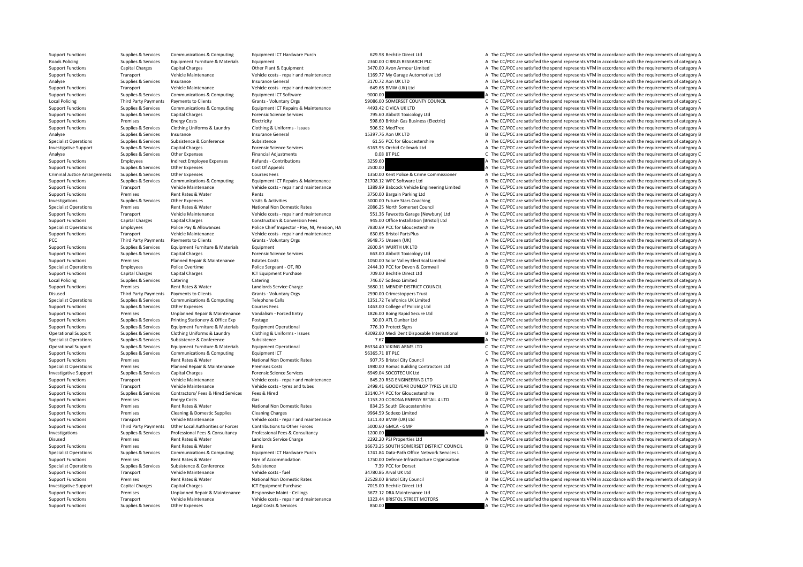Support Functions Supplies & Services Communications & Computing Equipment ICT Hardware Purch 629.98 Bechtle Direct Ltd A The CC/PCC are satisfied the spend represents VFM in accordance with the requirements of category A Roads Policing Supplies & Services Equipment Furniture & Materials Equipment Equipment 2360.00 CIRRUS RESEARCH PLC A The CC/PCC are satisfied the spend represents VFM in accordance with the requirements of category A Support Functions Capital Charges Capital Charges Content Other Plant & Equipment 3470.00 Avon Armour Limited A The CC/PCC are satisfied the spend represents VFM in accordance with the requirements of category A Support Functions Transport Vehicle Maintenance Vehicle costs ‐ repair and maintenance 1169.77 My Garage Automotive Ltd A The CC/PCC are satisfied the spend represents VFM in accordance with the requirements of category A Analyse Supplies Services Insurance Insurance General Insurance General 3170.72 Aon UK LTD A The CC/PCC are satisfied the spend represents VFM in accordance with the requirements of category A Support Functions Transport Vehicle Maintenance Vehicle costs ‐ repair and maintenance – –649.68 BMW (UK) Ltd A The CC/PCC are satisfied the spend represents VFM in accordance with the requirements of category A Support Functions Supplies & Services Communications & Computing Equipment ICT Software 9000.00 9000.00 A The CC/PCC are satisfied the spend represents VFM in accordance with the requirements of category A The Cripment of Local Policing Third Party Payments to Clients Grants Voluntary Orgs 59086.00 SOMERSET COUNTY COUNCIL C The CC/PCC are satisfied the spend represents VFM in accordance with the requirements of category C Support Functions Supplies & Services Communications & Computing Equipment ICT Repairs & Maintenance 4493.42 CIVICA UK LTD A The CC/PCC are satisfied the spend represents VFM in accordance with the requirements of category Support Functions Supplies & Services Capital Charges Marges Forensic Science Services 795.60 Abbott Toxicology Ltd A The CC/PCC are satisfied the spend represents VFM in accordance with the requirements of category A The Support Functions Premises Energy Costs Energy Costs Electricity Electricity Electricity Electricity Electricity Electricity and the Support Functions a The CC/PCC are satisfied the spend represents VFM in accordance with Support Functions Supplies & Services Clothing Uniforms & Laundry Clothing & Laundry Clothing & Uniforms - Issues 506.92 MedTree A The CC/PCC are satisfied the spend represents VFM in accordance with the requirements of ca Analyse Supplies & Services Insurance Insurance Supplies & Services Insurance General Insurance General 15397.76 Aon UK LTD B The CC/PCC are satisfied the spend represents VFM in accordance with the requirements of categor Specialist Operations Supplies & Services Subsistence Subsistence Subsistence Subsistence Subsistence Subsistence Subsistence Subsistence Subsistence Subsistence Conference Subsistence Subsistence Conference Subsistence Su Investigative Support Supplies & Services Capital Charges Marges Forensic Science Services Forensic Science Services 6163.95 Orchid Cellmark Ltd A The CC/PCC are satisfied the spend represents VFM in accordance with the re Analyse Supplies & Services Other Expenses Financial Adjustments 6.08 BT PLC C The CC/PCC are satisfied the spend represents VFM in accordance with the requirements of category C Support Functions Employees Indirect Employee Expenses Refunds - Contributions 3259.60 3259.60 A The CC/PCC are satisfied the spend represents VFM in accordance with the requirements of category A The CC/PCC are satisfied Support Functions Supplies & Services Other Expenses Cost Of Appeals Cost Of Appeals 2500.00 A The CC/PCC are satisfied the spend represents VFM in accordance with the requirements of category A The Criminal lustice Arrang Criminal Justice Arrangements Supplies & Services Other Expenses Courses Fees 1350.00 Kent Police & Crime Commissioner A The CC/PCC are satisfied the spend represents VFM in accordance with the requirements of category A Support Functions Supplies & Services Communications & Computing Equipment ICT Repairs & Maintenance 21708.12 WPC Software Ltd Bill Band Bill Band and the CC/PCC are satisfied the spend represents VFM in accordance with th Transport Vehicle Maintenance Weblicle Costs - repair and maintenance 1389.99 Babcock Vehicle Engineering Limited A The CC/PCC are satisfied the spend represents VEM in accordance with the requirements of category A Support Functions Premises Rent Rates & Water Rents Rents Rents and Rents 3750.00 Bargain Parking Itd A The CC/PCC are satisfied the spend represents VFM in accordance with the requirements of category A Investigations Supplies & Services Other Expenses Visits & Activities Visits Activities 5000.00 Future Stars Coaching A The CC/PCC are satisfied the spend represents VFM in accordance with the requirements of category A Specialist Operations Premises Rent Rates & Water Mational Non Domestic Rates 2086.25 North Somerset Council A The CC/PCC are satisfied the spend represents VFM in accordance with the requirements of category A The Departm Transport Vehicle Maintenance Vehicle orts - repair and maintenance 551.36 Fawcetts Garage (Newbury) Ltd A The CC/PCC are satisfied the spend represents VFM in accordance with the requirements of category A Support Functions Capital Charges Capital Charges Construction & Construction & Conversion Fees 945.00 Office Installation (Bristol) Ltd A The CC/PCC are satisfied the spend represents VFM in accordance with the requiremen Specialist Operations Employees Police Pay & Allowances Police Chief Inspector - Pay. NJ. Pension. HA 7830.69 PCC for Gloucestershire A The CC/PCC are satisfied the spend represents VFM in accordance with the requirements Support Functions Transport Vehicle Maintenance Vehicle costs – repair and maintenance and maintenance 630.65 Bristol PartsPlus A The CC/PCC are satisfied the spend represents VFM in accordance with the requirements of cat A The CC/PCC are satisfied the spend represents VFM in accordance with the requirements of category A Support Functions Supplies & Services Equipment Furniture & Materials Equipment 2600.94 WURTH UK LTD A The CC/PCC are satisfied the spend represents VFM in accordance with the requirements of category A Support Functions Supplies & Services Capital Charges Forensic Science Services 663.00 Abbott Toxicology Ltd A The CC/PCC are satisfied the spend represents VFM in accordance with the requirements of category A Support Functions Premises Planned Repair & Maintenance Estates Costs 1050.00 Solar Valley Electrical Limited A The CC/PCC are satisfied the spend represents VFM in accordance with the requirements of category A The Crical B The CC/PCC are satisfied the spend represents VFM in accordance with the requirements of category B Support Functions Capital Charges Capital Charges Capital Charges ICT Equipment Purchase ICT Equipment Purchase 709.00 Bechtle Direct Ltd A The CC/PCC are satisfied the spend represents VFM in accordance with the requireme Local Policing Supplies & Services Catering Catering Catering Catering Catering Catering Category A The CC/PCC are satisfied the spend represents VFM in accordance with the requirements of category A Support Functions Premises Rent Rates & Water Landlords Service Charge 3680.11 MENDIP DISTRICT COUNCIL A The CC/PCC are satisfied the spend represents VFM in accordance with the requirements of category A Disused Third Party Payments Payments to Clients Contrasts Clients Grants - Voluntary Orgs 2590.00 Crimestoppers Trust A The CC/PCC are satisfied the spend represents VFM in accordance with the requirements of category A Specialist Operations Supplies & Services Communications & Computing Telephone Calls Telephone Calls 1351.72 Telefonica UK Limited A The CC/PCC are satisfied the spend represents VFM in accordance with the requirements of Support Functions Supplies & Services Other Expenses Courses Fees 1463.00 College of Policing Ltd A The CC/PCC are satisfied the spend represents VFM in accordance with the requirements of category A Support Functions Premises Premises Unplanned Repair & Maintenance Vandalism - Forced Entry 1826.00 Boing Rapid Secure Ltd A The CC/PCC are satisfied the spend represents VFM in accordance with the requirements of category Support Functions Supplies & Services Printing Stationery & Office Exp Postage 30.00 ATL Dunbar Ltd 30.00 ATL Dunbar Ltd A The CC/PCC are satisfied the spend represents VFM in accordance with the requirements of category A Support Functions Support Functions Supplies A The CC/PCC are satisfied the spend represents VFM in accordance with the requirements of category A The CC/PCC are satisfied the spend represents VFM in accordance with the re Containers Supplies & Services Clothing Uniforms & Laundry Clothing & Liniforms - Issues 43092.00 Medi Dent Disposable International B. The CC/PCC are satisfied the spend represents VEM in accordance with the requirements Specialist Operations Supplies & Services Subsistence Subsistence Subsistence Subsistence Subsistence Subsistence 7.67 A The CC/PCC are satisfied the spend represents VFM in accordance with the requirements of category A Operational Support Supplies & Services Equipment Furniture & Materials Equipment Operational experational 86334.40 VIKING ARMS LTD C The CC/PCC are satisfied the spend represents VFM in accordance with the requirements of C The CC/PCC are satisfied the spend represents VFM in accordance with the requirements of category C Support Functions Premises Rent Rates & Water National Non Domestic Rates 907.75 Bristol City Council A The CC/PCC are satisfied the spend represents VFM in accordance with the requirements of category A Specialist Operations Premises Planned Repair & Maintenance Premises Costs 1980.00 Romac Building Contractors Ltd A The CC/PCC are satisfied the spend represents VFM in accordance with the requirements of category A The Cr Investigative Support Supplies & Services Capital Charges Capital Charges Forensic Science Services 6949.04 Support Capital Charges Forensic Support of category A The CC/PC are satisfied the spend represents VFM in accorda Support Functions Transport Vehicle Maintenance Vehicle costs ‐ repair and maintenance 845.20 RSG ENGINEERING LTD A The CC/PCC are satisfied the spend represents VFM in accordance with the requirements of category A Support Functions Transport Vehicle Maintenance Vehicle costs ‐ tyres and tubes 2498.41 GOODYEAR DUNLOP TYRES UK LTD A The CC/PCC are satisfied the spend represents VFM in accordance with the requirements of category A Support Functions Supplies & Services Contractors/ Fees & Hired Services Fees & Hired 13140.74 PCC for Gloucestershire B The CC/PCC are satisfied the spend represents VFM in accordance with the requirements of category B<br>S Support Functions Premises Fuergy Costs Gas Gas 1153.20 CORONA ENFRGY RETAIL 4 LTD A The CC/PCC are satisfied the spend represents VFM in accordance with the requirements of category A Support Functions Premises Rent Rates & Water National Non Domestic Rates 834.25 South Gloucestershire A The CC/PCC are satisfied the spend represents VFM in accordance with the requirements of category A Support Functions Premises Cleaning & Domestic Supplies Cleaning Charges Cleaning Charges 9964.59 Sodexo Limited A The CC/PCC are satisfied the spend represents VFM in accordance with the requirements of category A The CO/ Support Functions Transport Vehicle Maintenance Vehicle costs – repair and maintenance 1311.40 BMW (UK) Ltd A The CC/PCC are satisfied the spend represents VFM in accordance with the requirements of category A The Criteria Support Functions Third Party Payments Other Local Authorities or Forces Contributions to Other Forces S000.60 GMCA - GMP A The CC/PCC are satisfied the spend represents VFM in accordance with the requirements of category Investigations Supplies & Services Professional Fees & Consultancy Professional Fees & Consultancy Consultancy 1200.00 A The CC/PCC are satisfied the spend represents VFM in accordance with the requirements of category A Disused Premises Rent Rates & Water Landlords Service Charge 2292.20 PSJ Properties Ltd A The CC/PCC are satisfied the spend represents VFM in accordance with the requirements of category A The CONCLET A The CC/PCC are sat Support Functions Premises Rent Rates & Water Rents Rents Rents Rents Rents 16673.25 SOUTH SOMERSET DISTRICT COUNCIL B The CC/PCC are satisfied the spend represents VFM in accordance with the requirements of category B Supplies & Services Communications & Computing Equipment ICT Hardware Purch 1741.84 Data-Path Office Network Services A The CC/PCC are satisfied the spend represents VFM in accordance with the requirements of category A Support Functions Premises Rent Rates & Water Hire of Accommodation 1750.00 Defence Infrastructure Organisation A The CC/PCC are satisfied the spend represents VFM in accordance with the requirements of category A Specialist Operations Supplies & Services Subsistence Subsistence Subsistence Subsistence Subsistence Subsistence Subsistence Subsistence Subsistence Subsistence Subsistence Subsistence Subsistence and the Subsistence and Support Functions Transport Vehicle Maintenance Vehicle costs – fuel Vehicle Costs – fuel 34780.86 Arval UK Ltd B The CC/PCC are satisfied the spend represents VFM in accordance with the requirements of category B<br>Sunnort Support Functions Premises Rent Rates & Water Mational Non Domestic Rates 22528.00 Bristol City Council and B The CC/PCC are satisfied the spend represents VFM in accordance with the requirements of category B Investigativ A The CC/PCC are satisfied the spend represents VFM in accordance with the requirements of category A Support Functions Premises Unplanned Repair & Maintenance Responsive Maint - Ceilings 3672.12 DRA Maintenance Itd A The CC/PCC are satisfied the spend represents VFM in accordance with the requirements of category A Support Functions Transport Vehicle Maintenance Vehicle costs ‐ repair and maintenance 1323.44 BRISTOL STREET MOTORS A The CC/PCC are satisfied the spend represents VFM in accordance with the requirements of category A Support Functions Supplies & Services Other Expenses Legal Costs & Services 850.00 A The CC/PCC are satisfied the spend represents VFM in accordance with the requirements of category A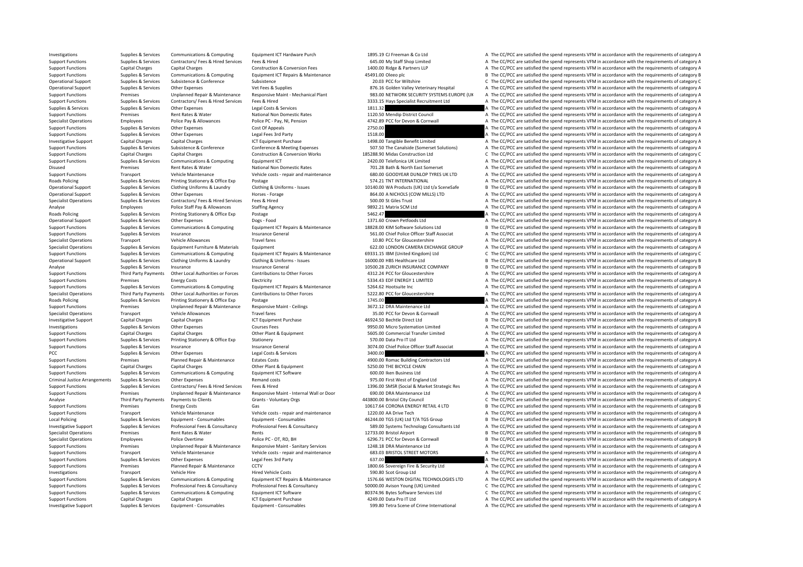Investigative Support Supplies & Services Equipment - Consumables Equipment - Consumables Equipment - Consumables Equipment - Consumables Equipment - Consumables 599.80 Tetra Scene of Crime International A The CC/PCC are s

Investigations Supplies & Services Communications & Computing Equipment ICT Hardware Purch 1895.19 CJ Freeman & Co Ltd A The CC/PCC are satisfied the spend represents VFM in accordance with the requirements of category A Support Functions Supplies & Services Contractors/ Fees & Hired Services Fees & Hired Services Fees & Hired 645.00 My Staff Shop Limited A The CC/PCC are satisfied the spend represents VFM in accordance with the requiremen Support Functions Capital Charges Capital Charges Construction Construction & Conversion Fees 1400.00 Ridge & Partners LLP A The CC/PCC are satisfied the spend represents VFM in accordance with the requirements of category Support Functions Supplies & Services Communications & Computing Equipment ICT Repairs & Maintenance 45491.00 Oleeo plc are a many product B The CC/PCC are satisfied the spend represents VFM in accordance with the requirem Operational Support Supplies & Services Subsistence & Conference Subsistence 20.03 PCC for Wiltshire C The CC/PCC are satisfied the spend represents VFM in accordance with the requirements of category C Operational Support Supplies & Services Other Expenses Vet Fees & Supplies Vet Fees & Supplies Vet Fees & Supplies 876.16 Golden Valley Veterinary Hospital A The CC/PCC are satisfied the spend represents VFM in accordance Support Functions Premises Unplanned Repair & Maintenance Responsive Maint Mechanical Plant 983.00 NETWORK SECURITY SYSTEMS EUROPE (UK A The CC/PCC are satisfied the spend represents VFM in accordance with the requirements Sunnort Functions Sunniles & Services Contractors/ Fees & Hired Services Fees & Hired Services Fees & Hired 3333.15 Havs Specialist Recruitment Itd A The CC/PCC are satisfied the spend represents VFM in accordance with the Supplies & Services Supplies & Services Other Expenses Legal Costs & Services 1811.32 A The CC/PCC are satisfied the spend represents VFM in accordance with the requirements of category A Support Functions Premises Rent Rates & Water Mational Non Domestic Rates 1120.50 Mendip District Council A The CC/PCC are satisfied the spend represents VFM in accordance with the requirements of category A The Council Sp Specialist Operations Employees Police Pay & Allowances Police PC - Pay, NI, Pension 4742.89 PCC for Devon & Cornwall A The CC/PCC are satisfied the spend represents VFM in accordance with the requirements of category A Support Functions Supplies & Services Other Expenses Cost Of Appeals Cost Of Appeals 2750.00 2750.00 A The CC/PCC are satisfied the spend represents VFM in accordance with the requirements of category A Support Functions Supplies & Services Other Expenses Legal Fees 3rd Party 1518.00 1518.00 A The CC/PCC are satisfied the spend represents VFM in accordance with the requirements of category A The CC/PCC are satisfied the s Investigative Support Capital Charges Capital Charges 1998.00 Tangible Benefit Limited A The CC/PCC are satisfied the spend represents VFM in accordance with the requirements of category A Support Functions Supplies & Services Subsistence & Conference Conference Conference A Meeting Expenses Support Facebook David Support Functions A The CC/PCC are satisfied the spend represents VFM in accordance with the re Support Functions Capital Charges Capital Charges Construction & Conversion Works 185288.90 Midas Construction Ltd C The CC/PCC are satisfied the spend represents VFM in accordance with the requirements of category C Support Functions Supplies & Services Communications & Computing Equipment ICT 2420.00 Telefonica UK Limited A The CC/PCC are satisfied the spend represents VFM in accordance with the requirements of category A The Cripmen Disused Premises Rent Rates & Water National Non Domestic Rates 701.28 Bath & North East Somerset A The CC/PCC are satisfied the spend represents VFM in accordance with the requirements of category A Support Functions Transport Vehicle Maintenance Vehicle costs ‐ repair and maintenance 680.00 GOODYEAR DUNLOP TYRES UK LTD A The CC/PCC are satisfied the spend represents VFM in accordance with the requirements of category Roads Policing Supplies & Services Printing Stationery & Office Exp Postage Protage Printing Stationery & Office Exp Postage Protage 574.21 TNT INTERNATIONAL A The CC/PCC are satisfied the spend represents VFM in accordanc B. The CC/PCC are satisfied the spend represents VEM in accordance with the requirements of category B. Operational Support Supplies & Services Other Expenses Horses Forage Horses Forage 864.00 A NICHOLS (COW MILLS) LTD A The CC/PCC are satisfied the spend represents VFM in accordance with the requirements of category A Specialist Operations Supplies & Services Contractors/ Fees & Hired Services Fees & Hired 500.00 St Giles Trust A The CC/PCC are satisfied the spend represents VFM in accordance with the requirements of category A Analyse Employees Police Staff Pay & Allowances Staffing Agency 9892.21 Matrix SCM Ltd A The CC/PCC are satisfied the spend represents VFM in accordance with the requirements of category A The School and School and School Postage Supplies Supplies Supplies State Supplies A The CC/PCC are satisfied the spend represents VFM in accordance with the requirements of category A The CC/PCC are satisfied the spend represents VFM in accordance with t Operational Support Supplies & Services Other Expenses Dogs - Food 1371.60 Crown Petfoods Ltd A The CC/PCC are satisfied the spend represents VFM in accordance with the requirements of category A Supplies & Services Communications & Computing Equipment ICT Repairs & Maintenance 18828.00 KIM Software Solutions Ltd B The CC/PCC are satisfied the spend represents VFM in accordance with the requirements of category B Support Functions Supplies & Services Insurance Insurance General Support The Support Content of Content of Content A The CC/PCC are satisfied the spend represents VFM in accordance with the requirements of category A The Specialist Operations Transport Vehicle Allowances Travel fares 10.80 PCC for Gloucestershire A The CC/PCC are satisfied the spend represents VFM in accordance with the requirements of category A Specialist Operations Supplies & Services Equipment Furniture & Materials Equipment Equipment 622.00 LONDON CAMERA EXCHANGE GROUP A The CC/PCC are satisfied the spend represents VFM in accordance with the requirements of c Supplies & Services Communications & Computing Equipment ICT Repairs & Maintenance 69331.15 IBM (United Kingdom) Ltd C The CC/PCC are satisfied the spend represents VFM in accordance with the requirements of category C Operational Support Supplies & Services Clothing Uniforms & Laundry Clothing & Uniforms - Issues and the suppor<br>
Supplies & Services Insurance Omeral Insurance General Musulman and the service of the CC/PCC are satisfied t B The CC/PCC are satisfied the spend represents VFM in accordance with the requirements of category B Support Functions Third Party Payments Other Local Authorities or Forces Contributions to Other Forces and a 4312.24 PCC for Gloucestershire and A The CC/PCC are satisfied the spend represents VFM in accordance with the re Support Functions Premises Energy Costs Functions Electricity Functions and the COSTS Electricity of the Spend Represents VFM in accordance with the requirements of category A Support Functions Supplies & Services Communications & Computing Equipment ICT Repairs & Maintenance 5264.62 Hootsuite Inc Support Functions A The CC/PCC are satisfied the spend represents VFM in accordance with the requir Specialist Operations Third Party Payments Other Ioral Authorities or Forces Contributions to Other Forces 5222 80 PCC for Gloucestershire a The CC/PCC are satisfied the spend represents VFM in accordance with the requirem Roads Policing Supplies A Services Printing Stationery & Office Exp Postage Printing Stationery & Office Exp Postage 1745.00 1745.00 A The CC/PCC are satisfied the spend represents VFM in accordance with the requirements o Support Functions Premises Unplanned Repair & Maintenance Responsive Maint - Ceilings 3672.12 DRA Maintenance Ltd A The CC/PCC are satisfied the spend represents VFM in accordance with the requirements of category A Specialist Operations Transport Vehicle Allowances Travel fares Travel fares 35.00 PCC for Devon & Cornwall A The CC/PCC are satisfied the spend represents VFM in accordance with the requirements of category A Investigative Support Capital Charges Capital Charges Acepty Capital Charges ICT Equipment Purchase 16924.50 Bechtle Direct Ltd B The CC/PCC are satisfied the spend represents VFM in accordance with the requirements of cat Investigations of Courses Fees 9950.00 Micro Systemation Limited A The CC/PCC are satisfied the spend represents VFM in accordance with the requirements of category A The CC/PCC are satisfied the spend represents VFM in ac Support Functions Capital Charges Capital Charges Other Plant & Fouloment 5605.00 Commercial Transfer Limited A The CC/PCC are satisfied the spend represents VFM in accordance with the requirements of category A Support Functions Supplies & Services Printing Stationery & Office Exp Stationery Stationery A The CC/PCC are satisfied the spend represents VFM in accordance with the requirements of category A Support Functions Supplies & Services Insurance Concretal Support Insurance General 3074.00 Chief Police Officer Staff Associat A The CC/PCC are satisfied the spend represents VFM in accordance with the requirements of cat PCC Supplies & Services Other Expenses Legal Costs & Services 3400.00 A The CC/PCC are satisfied the spend represents VFM in accordance with the requirements of category A Support Functions Premises Planned Repair & Maintenance Estates Costs 4900.00 Romac Building Contractors Ltd A The CC/PCC are satisfied the spend represents VFM in accordance with the requirements of category A Support Functions Capital Charges Capital Charges Capital Charges Other Plant & Equipment Other Plant & Equipment 5250.00 THE BICYCLE CHAIN A The CC/PCC are satisfied the spend represents VFM in accordance with the require Support Functions Supplies Services Communications & Computing Equipment ICT Software 600.00 Iken Business Ltd A The CC/PCC are satisfied the spend represents VFM in accordance with the requirements of category A The CC/PC Criminal Justice Arrangements Supplies & Services Other Expenses Remand costs Remand costs 975.00 First West of England Ltd A The CC/PCC are satisfied the spend represents VFM in accordance with the requirements of categor Support Functions Supplies & Services Contractors/ Fees & Hired Services Fees & Hired Services Fees & Hired Services Fees & Hired Services Fees & Hired Services Fees & Hired Services Fees & Hired Services Fees & Hired Serv Support EuroCyPCC are satisfied the spend represents VFM in accordance with the requirements of category A support Europe Unity of the CyPCC are satisfied the spend represents VFM in accordance with the requirements of cat Analyse Third Party Payments to Clients Grants Voluntary Orgs 443800.00 Bristol City Council C The CC/PCC are satisfied the spend represents VFM in accordance with the requirements of category C Support Functions Premises Energy Costs Gas Gas 10617.64 CORONA ENERGY RETAIL 4 LTD B The CC/PCC are satisfied the spend represents VFM in accordance with the requirements of category B Support Functions Transport Vehicle Maintenance Vehicle costs ‐ repair and maintenance 1220.00 AA Drive Tech A The CC/PCC are satisfied the spend represents VFM in accordance with the requirements of category A The CC/PC a Local Policing Supplies & Services Equipment - Consumables Equipment - Consumables Equipment - Consumables Equipment - Consumables and the spend To a The CC/PCC are satisfied the spend represents VFM in accordance with the Investigative Supplies & Services Professional Fees & Consultancy Professional Fees & Consultancy Professional Fees & Consultancy Professional Fees & Consultancy Professional Fees & Consultancy Professional Fees & Consulta Specialist Operations Premises Rent Rates & Water Rents Rents Rents Rents Rents Rents Rents Rents Rents 12733.00 Bristol Airport B The CC/PCC are satisfied the spend represents VFM in accordance with the requirements of ca Specialist Operations Police Overtime Police PC · OT, RD, BH 6296.71 PCC for Devon & Cornwall B The CC/PCC are satisfied the spend represents VFM in accordance with the requirements of category B and the reduirements of ca Support Functions Premises Unplanned Repair & Maintenance Responsive Maint · Sanitary Services 1248.18 DRA Maintenance Ltd A The CC/PCC are satisfied the spend represents VFM in accordance with the requirements of category Support Functions Transport Vehicle Maintenance Vehicle costs - repair and maintenance 683.03 BRISTOL STREET MOTORS A The CC/PCC are satisfied the spend represents VFM in accordance with the requirements of category A Support Functions Supplies & Services Other Expenses Legal Fees 3rd Party 637.00 637.00 A The CC/PCC are satisfied the spend represents VFM in accordance with the requirements of category A Support Functions Premises Planned Repair & Maintenance CCTV 1800.66 Sovereign Fire & Security Ltd A The CC/PCC are satisfied the spend represents VFM in accordance with the requirements of category A Investigations Transport Vehicle Hire Hired Vehicle Costs 590.80 Scot Group Ltd A The CC/PCC are satisfied the spend represents VFM in accordance with the requirements of category A Support Functions Supplies & Services Communications & Computing Equipment ICT Repairs & Maintenance 1576.66 WESTON DIGITAL TECHNOLOGIES LTD A The CC/PCC are satisfied the spend represents VFM in accordance with the requir C The CC/PCC are satisfied the spend represents VFM in accordance with the requirements of category C Supplies & Services Communications & Computing Foujoment ICT Software and any and a services Itd C. The CC/PCC are satisfied the spend represents VFM in accordance with the requirements of category C. Support Functions Capital Charges Capital Charges A Capital Charges A The CC/PCC are satisfied the spend represents VFM in accordance with the requirements of category A The CC/PCC are satisfied the spend represents VFM in